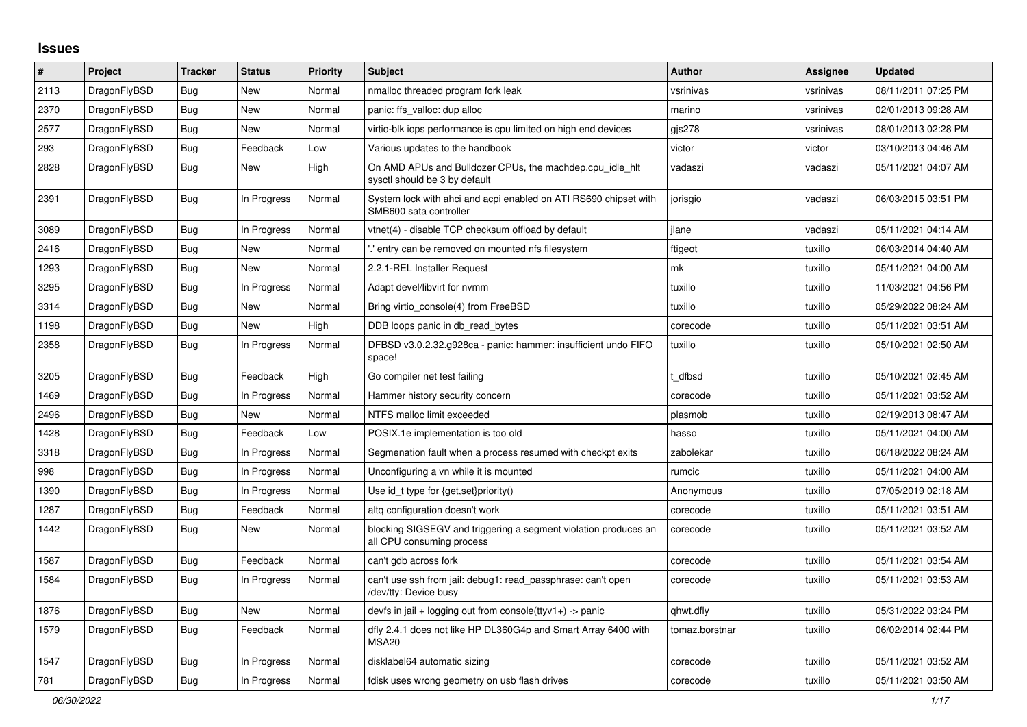## **Issues**

| $\sharp$ | Project      | Tracker    | <b>Status</b> | <b>Priority</b> | <b>Subject</b>                                                                               | <b>Author</b>  | Assignee  | Updated             |
|----------|--------------|------------|---------------|-----------------|----------------------------------------------------------------------------------------------|----------------|-----------|---------------------|
| 2113     | DragonFlyBSD | <b>Bug</b> | New           | Normal          | nmalloc threaded program fork leak                                                           | vsrinivas      | vsrinivas | 08/11/2011 07:25 PM |
| 2370     | DragonFlyBSD | Bug        | New           | Normal          | panic: ffs valloc: dup alloc                                                                 | marino         | vsrinivas | 02/01/2013 09:28 AM |
| 2577     | DragonFlyBSD | <b>Bug</b> | New           | Normal          | virtio-blk iops performance is cpu limited on high end devices                               | gjs278         | vsrinivas | 08/01/2013 02:28 PM |
| 293      | DragonFlyBSD | <b>Bug</b> | Feedback      | Low             | Various updates to the handbook                                                              | victor         | victor    | 03/10/2013 04:46 AM |
| 2828     | DragonFlyBSD | Bug        | New           | High            | On AMD APUs and Bulldozer CPUs, the machdep.cpu_idle_hlt<br>sysctl should be 3 by default    | vadaszi        | vadaszi   | 05/11/2021 04:07 AM |
| 2391     | DragonFlyBSD | <b>Bug</b> | In Progress   | Normal          | System lock with ahci and acpi enabled on ATI RS690 chipset with<br>SMB600 sata controller   | jorisgio       | vadaszi   | 06/03/2015 03:51 PM |
| 3089     | DragonFlyBSD | Bug        | In Progress   | Normal          | vtnet(4) - disable TCP checksum offload by default                                           | ilane          | vadaszi   | 05/11/2021 04:14 AM |
| 2416     | DragonFlyBSD | Bug        | <b>New</b>    | Normal          | ".' entry can be removed on mounted nfs filesystem                                           | ftigeot        | tuxillo   | 06/03/2014 04:40 AM |
| 1293     | DragonFlyBSD | <b>Bug</b> | New           | Normal          | 2.2.1-REL Installer Request                                                                  | mk             | tuxillo   | 05/11/2021 04:00 AM |
| 3295     | DragonFlyBSD | <b>Bug</b> | In Progress   | Normal          | Adapt devel/libvirt for nvmm                                                                 | tuxillo        | tuxillo   | 11/03/2021 04:56 PM |
| 3314     | DragonFlyBSD | Bug        | New           | Normal          | Bring virtio console(4) from FreeBSD                                                         | tuxillo        | tuxillo   | 05/29/2022 08:24 AM |
| 1198     | DragonFlyBSD | <b>Bug</b> | New           | High            | DDB loops panic in db_read_bytes                                                             | corecode       | tuxillo   | 05/11/2021 03:51 AM |
| 2358     | DragonFlyBSD | <b>Bug</b> | In Progress   | Normal          | DFBSD v3.0.2.32.g928ca - panic: hammer: insufficient undo FIFO<br>space!                     | tuxillo        | tuxillo   | 05/10/2021 02:50 AM |
| 3205     | DragonFlyBSD | <b>Bug</b> | Feedback      | High            | Go compiler net test failing                                                                 | t dfbsd        | tuxillo   | 05/10/2021 02:45 AM |
| 1469     | DragonFlyBSD | <b>Bug</b> | In Progress   | Normal          | Hammer history security concern                                                              | corecode       | tuxillo   | 05/11/2021 03:52 AM |
| 2496     | DragonFlyBSD | <b>Bug</b> | New           | Normal          | NTFS malloc limit exceeded                                                                   | plasmob        | tuxillo   | 02/19/2013 08:47 AM |
| 1428     | DragonFlyBSD | Bug        | Feedback      | Low             | POSIX.1e implementation is too old                                                           | hasso          | tuxillo   | 05/11/2021 04:00 AM |
| 3318     | DragonFlyBSD | <b>Bug</b> | In Progress   | Normal          | Segmenation fault when a process resumed with checkpt exits                                  | zabolekar      | tuxillo   | 06/18/2022 08:24 AM |
| 998      | DragonFlyBSD | <b>Bug</b> | In Progress   | Normal          | Unconfiguring a vn while it is mounted                                                       | rumcic         | tuxillo   | 05/11/2021 04:00 AM |
| 1390     | DragonFlyBSD | <b>Bug</b> | In Progress   | Normal          | Use id_t type for {get,set}priority()                                                        | Anonymous      | tuxillo   | 07/05/2019 02:18 AM |
| 1287     | DragonFlyBSD | Bug        | Feedback      | Normal          | altg configuration doesn't work                                                              | corecode       | tuxillo   | 05/11/2021 03:51 AM |
| 1442     | DragonFlyBSD | <b>Bug</b> | New           | Normal          | blocking SIGSEGV and triggering a segment violation produces an<br>all CPU consuming process | corecode       | tuxillo   | 05/11/2021 03:52 AM |
| 1587     | DragonFlyBSD | <b>Bug</b> | Feedback      | Normal          | can't gdb across fork                                                                        | corecode       | tuxillo   | 05/11/2021 03:54 AM |
| 1584     | DragonFlyBSD | <b>Bug</b> | In Progress   | Normal          | can't use ssh from jail: debug1: read_passphrase: can't open<br>/dev/tty: Device busy        | corecode       | tuxillo   | 05/11/2021 03:53 AM |
| 1876     | DragonFlyBSD | <b>Bug</b> | New           | Normal          | devfs in jail + logging out from console(ttyv1+) -> panic                                    | qhwt.dfly      | tuxillo   | 05/31/2022 03:24 PM |
| 1579     | DragonFlyBSD | <b>Bug</b> | Feedback      | Normal          | dfly 2.4.1 does not like HP DL360G4p and Smart Array 6400 with<br>MSA <sub>20</sub>          | tomaz.borstnar | tuxillo   | 06/02/2014 02:44 PM |
| 1547     | DragonFlyBSD | <b>Bug</b> | In Progress   | Normal          | disklabel64 automatic sizing                                                                 | corecode       | tuxillo   | 05/11/2021 03:52 AM |
| 781      | DragonFlyBSD | <b>Bug</b> | In Progress   | Normal          | fdisk uses wrong geometry on usb flash drives                                                | corecode       | tuxillo   | 05/11/2021 03:50 AM |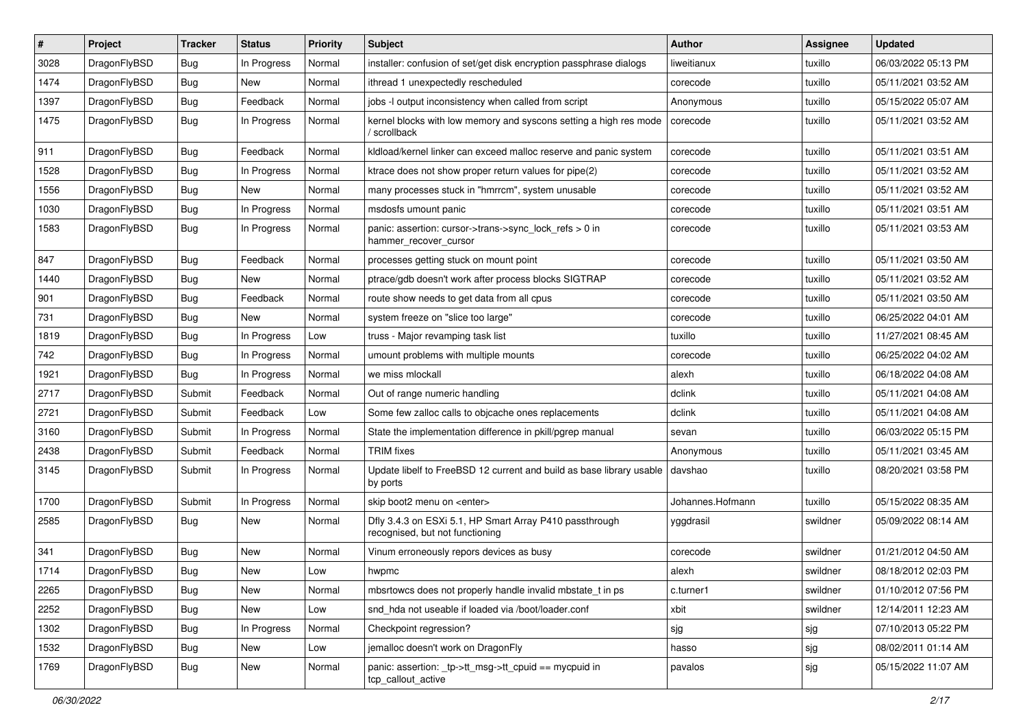| #    | Project      | <b>Tracker</b> | <b>Status</b> | <b>Priority</b> | Subject                                                                                    | <b>Author</b>    | <b>Assignee</b> | <b>Updated</b>      |
|------|--------------|----------------|---------------|-----------------|--------------------------------------------------------------------------------------------|------------------|-----------------|---------------------|
| 3028 | DragonFlyBSD | Bug            | In Progress   | Normal          | installer: confusion of set/get disk encryption passphrase dialogs                         | liweitianux      | tuxillo         | 06/03/2022 05:13 PM |
| 1474 | DragonFlyBSD | Bug            | <b>New</b>    | Normal          | ithread 1 unexpectedly rescheduled                                                         | corecode         | tuxillo         | 05/11/2021 03:52 AM |
| 1397 | DragonFlyBSD | <b>Bug</b>     | Feedback      | Normal          | jobs -I output inconsistency when called from script                                       | Anonymous        | tuxillo         | 05/15/2022 05:07 AM |
| 1475 | DragonFlyBSD | <b>Bug</b>     | In Progress   | Normal          | kernel blocks with low memory and syscons setting a high res mode<br>/ scrollback          | corecode         | tuxillo         | 05/11/2021 03:52 AM |
| 911  | DragonFlyBSD | Bug            | Feedback      | Normal          | kidload/kernel linker can exceed malloc reserve and panic system                           | corecode         | tuxillo         | 05/11/2021 03:51 AM |
| 1528 | DragonFlyBSD | <b>Bug</b>     | In Progress   | Normal          | ktrace does not show proper return values for pipe(2)                                      | corecode         | tuxillo         | 05/11/2021 03:52 AM |
| 1556 | DragonFlyBSD | <b>Bug</b>     | New           | Normal          | many processes stuck in "hmrrcm", system unusable                                          | corecode         | tuxillo         | 05/11/2021 03:52 AM |
| 1030 | DragonFlyBSD | <b>Bug</b>     | In Progress   | Normal          | msdosfs umount panic                                                                       | corecode         | tuxillo         | 05/11/2021 03:51 AM |
| 1583 | DragonFlyBSD | <b>Bug</b>     | In Progress   | Normal          | panic: assertion: cursor->trans->sync_lock_refs > 0 in<br>hammer_recover_cursor            | corecode         | tuxillo         | 05/11/2021 03:53 AM |
| 847  | DragonFlyBSD | <b>Bug</b>     | Feedback      | Normal          | processes getting stuck on mount point                                                     | corecode         | tuxillo         | 05/11/2021 03:50 AM |
| 1440 | DragonFlyBSD | Bug            | New           | Normal          | ptrace/gdb doesn't work after process blocks SIGTRAP                                       | corecode         | tuxillo         | 05/11/2021 03:52 AM |
| 901  | DragonFlyBSD | <b>Bug</b>     | Feedback      | Normal          | route show needs to get data from all cpus                                                 | corecode         | tuxillo         | 05/11/2021 03:50 AM |
| 731  | DragonFlyBSD | Bug            | New           | Normal          | system freeze on "slice too large"                                                         | corecode         | tuxillo         | 06/25/2022 04:01 AM |
| 1819 | DragonFlyBSD | Bug            | In Progress   | Low             | truss - Major revamping task list                                                          | tuxillo          | tuxillo         | 11/27/2021 08:45 AM |
| 742  | DragonFlyBSD | Bug            | In Progress   | Normal          | umount problems with multiple mounts                                                       | corecode         | tuxillo         | 06/25/2022 04:02 AM |
| 1921 | DragonFlyBSD | Bug            | In Progress   | Normal          | we miss mlockall                                                                           | alexh            | tuxillo         | 06/18/2022 04:08 AM |
| 2717 | DragonFlyBSD | Submit         | Feedback      | Normal          | Out of range numeric handling                                                              | dclink           | tuxillo         | 05/11/2021 04:08 AM |
| 2721 | DragonFlyBSD | Submit         | Feedback      | Low             | Some few zalloc calls to objcache ones replacements                                        | dclink           | tuxillo         | 05/11/2021 04:08 AM |
| 3160 | DragonFlyBSD | Submit         | In Progress   | Normal          | State the implementation difference in pkill/pgrep manual                                  | sevan            | tuxillo         | 06/03/2022 05:15 PM |
| 2438 | DragonFlyBSD | Submit         | Feedback      | Normal          | <b>TRIM</b> fixes                                                                          | Anonymous        | tuxillo         | 05/11/2021 03:45 AM |
| 3145 | DragonFlyBSD | Submit         | In Progress   | Normal          | Update libelf to FreeBSD 12 current and build as base library usable<br>by ports           | davshao          | tuxillo         | 08/20/2021 03:58 PM |
| 1700 | DragonFlyBSD | Submit         | In Progress   | Normal          | skip boot2 menu on <enter></enter>                                                         | Johannes.Hofmann | tuxillo         | 05/15/2022 08:35 AM |
| 2585 | DragonFlyBSD | Bug            | New           | Normal          | Dfly 3.4.3 on ESXi 5.1, HP Smart Array P410 passthrough<br>recognised, but not functioning | yggdrasil        | swildner        | 05/09/2022 08:14 AM |
| 341  | DragonFlyBSD | Bug            | <b>New</b>    | Normal          | Vinum erroneously repors devices as busy                                                   | corecode         | swildner        | 01/21/2012 04:50 AM |
| 1714 | DragonFlyBSD | Bug            | New           | Low             | hwpmc                                                                                      | alexh            | swildner        | 08/18/2012 02:03 PM |
| 2265 | DragonFlyBSD | <b>Bug</b>     | New           | Normal          | mbsrtowcs does not properly handle invalid mbstate_t in ps                                 | c.turner1        | swildner        | 01/10/2012 07:56 PM |
| 2252 | DragonFlyBSD | <b>Bug</b>     | New           | Low             | snd_hda not useable if loaded via /boot/loader.conf                                        | xbit             | swildner        | 12/14/2011 12:23 AM |
| 1302 | DragonFlyBSD | <b>Bug</b>     | In Progress   | Normal          | Checkpoint regression?                                                                     | sjg              | sjg             | 07/10/2013 05:22 PM |
| 1532 | DragonFlyBSD | <b>Bug</b>     | <b>New</b>    | Low             | jemalloc doesn't work on DragonFly                                                         | hasso            | sjg             | 08/02/2011 01:14 AM |
| 1769 | DragonFlyBSD | <b>Bug</b>     | New           | Normal          | panic: assertion: _tp->tt_msg->tt_cpuid == mycpuid in<br>tcp_callout_active                | pavalos          | sjg             | 05/15/2022 11:07 AM |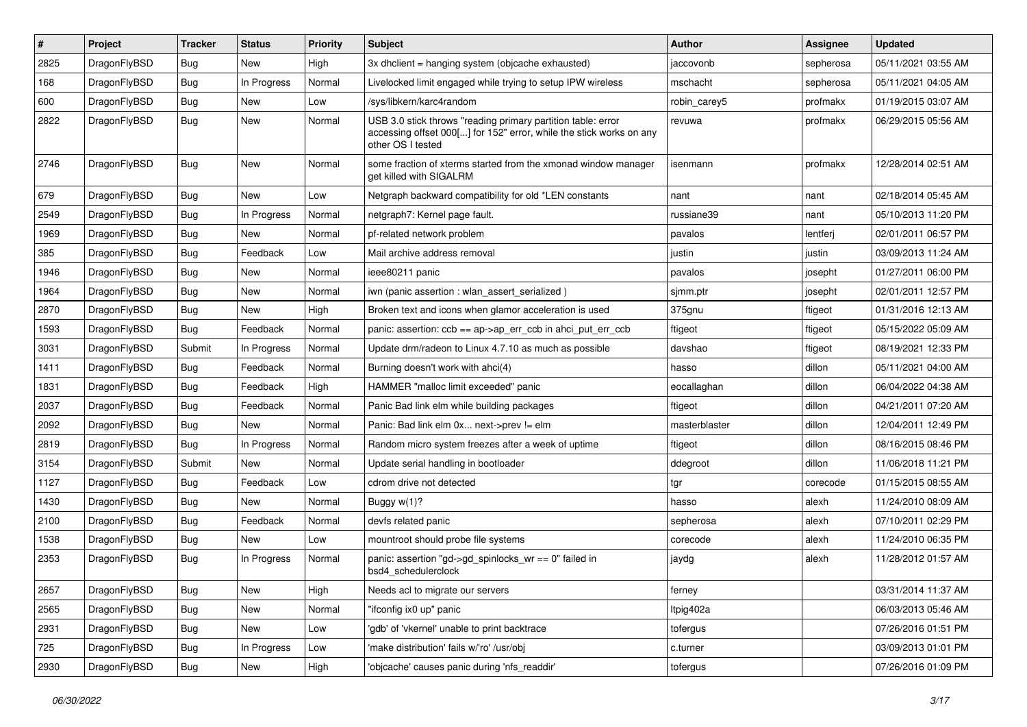| #    | Project      | <b>Tracker</b> | <b>Status</b> | <b>Priority</b> | Subject                                                                                                                                                  | <b>Author</b> | <b>Assignee</b> | <b>Updated</b>      |
|------|--------------|----------------|---------------|-----------------|----------------------------------------------------------------------------------------------------------------------------------------------------------|---------------|-----------------|---------------------|
| 2825 | DragonFlyBSD | <b>Bug</b>     | New           | High            | 3x dhclient = hanging system (objcache exhausted)                                                                                                        | jaccovonb     | sepherosa       | 05/11/2021 03:55 AM |
| 168  | DragonFlyBSD | <b>Bug</b>     | In Progress   | Normal          | Livelocked limit engaged while trying to setup IPW wireless                                                                                              | mschacht      | sepherosa       | 05/11/2021 04:05 AM |
| 600  | DragonFlyBSD | <b>Bug</b>     | New           | Low             | /sys/libkern/karc4random                                                                                                                                 | robin carey5  | profmakx        | 01/19/2015 03:07 AM |
| 2822 | DragonFlyBSD | <b>Bug</b>     | New           | Normal          | USB 3.0 stick throws "reading primary partition table: error<br>accessing offset 000[] for 152" error, while the stick works on any<br>other OS I tested | revuwa        | profmakx        | 06/29/2015 05:56 AM |
| 2746 | DragonFlyBSD | <b>Bug</b>     | New           | Normal          | some fraction of xterms started from the xmonad window manager<br>get killed with SIGALRM                                                                | isenmann      | profmakx        | 12/28/2014 02:51 AM |
| 679  | DragonFlyBSD | <b>Bug</b>     | <b>New</b>    | Low             | Netgraph backward compatibility for old *LEN constants                                                                                                   | nant          | nant            | 02/18/2014 05:45 AM |
| 2549 | DragonFlyBSD | Bug            | In Progress   | Normal          | netgraph7: Kernel page fault.                                                                                                                            | russiane39    | nant            | 05/10/2013 11:20 PM |
| 1969 | DragonFlyBSD | <b>Bug</b>     | New           | Normal          | pf-related network problem                                                                                                                               | pavalos       | lentferj        | 02/01/2011 06:57 PM |
| 385  | DragonFlyBSD | <b>Bug</b>     | Feedback      | Low             | Mail archive address removal                                                                                                                             | justin        | justin          | 03/09/2013 11:24 AM |
| 1946 | DragonFlyBSD | <b>Bug</b>     | <b>New</b>    | Normal          | ieee80211 panic                                                                                                                                          | pavalos       | josepht         | 01/27/2011 06:00 PM |
| 1964 | DragonFlyBSD | <b>Bug</b>     | New           | Normal          | iwn (panic assertion : wlan assert serialized)                                                                                                           | sjmm.ptr      | josepht         | 02/01/2011 12:57 PM |
| 2870 | DragonFlyBSD | <b>Bug</b>     | New           | High            | Broken text and icons when glamor acceleration is used                                                                                                   | 375gnu        | ftigeot         | 01/31/2016 12:13 AM |
| 1593 | DragonFlyBSD | <b>Bug</b>     | Feedback      | Normal          | panic: assertion: $\cosh ==$ ap->ap err $\cosh$ in ahci put err $\cosh$                                                                                  | ftigeot       | ftigeot         | 05/15/2022 05:09 AM |
| 3031 | DragonFlyBSD | Submit         | In Progress   | Normal          | Update drm/radeon to Linux 4.7.10 as much as possible                                                                                                    | davshao       | ftigeot         | 08/19/2021 12:33 PM |
| 1411 | DragonFlyBSD | <b>Bug</b>     | Feedback      | Normal          | Burning doesn't work with ahci(4)                                                                                                                        | hasso         | dillon          | 05/11/2021 04:00 AM |
| 1831 | DragonFlyBSD | <b>Bug</b>     | Feedback      | High            | HAMMER "malloc limit exceeded" panic                                                                                                                     | eocallaghan   | dillon          | 06/04/2022 04:38 AM |
| 2037 | DragonFlyBSD | <b>Bug</b>     | Feedback      | Normal          | Panic Bad link elm while building packages                                                                                                               | ftigeot       | dillon          | 04/21/2011 07:20 AM |
| 2092 | DragonFlyBSD | <b>Bug</b>     | New           | Normal          | Panic: Bad link elm 0x next->prev != elm                                                                                                                 | masterblaster | dillon          | 12/04/2011 12:49 PM |
| 2819 | DragonFlyBSD | <b>Bug</b>     | In Progress   | Normal          | Random micro system freezes after a week of uptime                                                                                                       | ftigeot       | dillon          | 08/16/2015 08:46 PM |
| 3154 | DragonFlyBSD | Submit         | New           | Normal          | Update serial handling in bootloader                                                                                                                     | ddegroot      | dillon          | 11/06/2018 11:21 PM |
| 1127 | DragonFlyBSD | <b>Bug</b>     | Feedback      | Low             | cdrom drive not detected                                                                                                                                 | tgr           | corecode        | 01/15/2015 08:55 AM |
| 1430 | DragonFlyBSD | <b>Bug</b>     | New           | Normal          | Buggy w(1)?                                                                                                                                              | hasso         | alexh           | 11/24/2010 08:09 AM |
| 2100 | DragonFlyBSD | <b>Bug</b>     | Feedback      | Normal          | devfs related panic                                                                                                                                      | sepherosa     | alexh           | 07/10/2011 02:29 PM |
| 1538 | DragonFlyBSD | <b>Bug</b>     | New           | Low             | mountroot should probe file systems                                                                                                                      | corecode      | alexh           | 11/24/2010 06:35 PM |
| 2353 | DragonFlyBSD | Bug            | In Progress   | Normal          | panic: assertion "gd->gd_spinlocks_wr == 0" failed in<br>bsd4 schedulerclock                                                                             | jaydg         | alexh           | 11/28/2012 01:57 AM |
| 2657 | DragonFlyBSD | <b>Bug</b>     | New           | High            | Needs acl to migrate our servers                                                                                                                         | ferney        |                 | 03/31/2014 11:37 AM |
| 2565 | DragonFlyBSD | <b>Bug</b>     | New           | Normal          | "ifconfig ix0 up" panic                                                                                                                                  | ltpig402a     |                 | 06/03/2013 05:46 AM |
| 2931 | DragonFlyBSD | <b>Bug</b>     | New           | Low             | 'gdb' of 'vkernel' unable to print backtrace                                                                                                             | tofergus      |                 | 07/26/2016 01:51 PM |
| 725  | DragonFlyBSD | <b>Bug</b>     | In Progress   | Low             | 'make distribution' fails w/'ro' /usr/obj                                                                                                                | c.turner      |                 | 03/09/2013 01:01 PM |
| 2930 | DragonFlyBSD | <b>Bug</b>     | New           | High            | 'objcache' causes panic during 'nfs_readdir'                                                                                                             | tofergus      |                 | 07/26/2016 01:09 PM |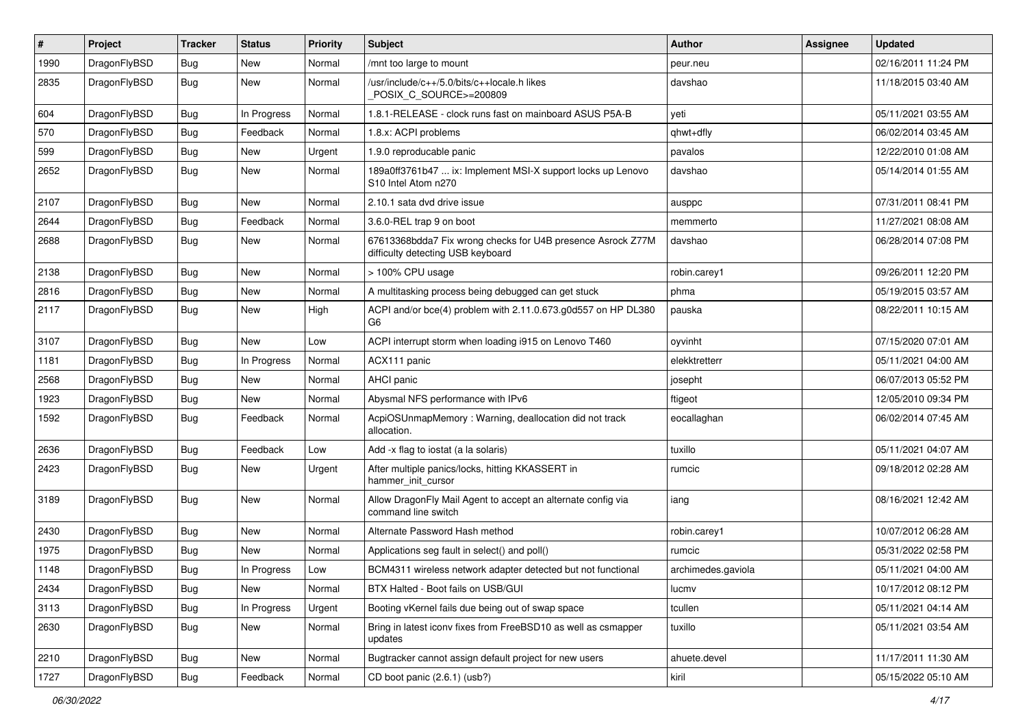| $\sharp$ | Project      | <b>Tracker</b> | <b>Status</b> | <b>Priority</b> | Subject                                                                                          | <b>Author</b>      | Assignee | <b>Updated</b>      |
|----------|--------------|----------------|---------------|-----------------|--------------------------------------------------------------------------------------------------|--------------------|----------|---------------------|
| 1990     | DragonFlyBSD | <b>Bug</b>     | <b>New</b>    | Normal          | /mnt too large to mount                                                                          | peur.neu           |          | 02/16/2011 11:24 PM |
| 2835     | DragonFlyBSD | <b>Bug</b>     | New           | Normal          | /usr/include/c++/5.0/bits/c++locale.h likes<br>POSIX_C_SOURCE>=200809                            | davshao            |          | 11/18/2015 03:40 AM |
| 604      | DragonFlyBSD | <b>Bug</b>     | In Progress   | Normal          | 1.8.1-RELEASE - clock runs fast on mainboard ASUS P5A-B                                          | yeti               |          | 05/11/2021 03:55 AM |
| 570      | DragonFlyBSD | Bug            | Feedback      | Normal          | 1.8.x: ACPI problems                                                                             | qhwt+dfly          |          | 06/02/2014 03:45 AM |
| 599      | DragonFlyBSD | <b>Bug</b>     | New           | Urgent          | 1.9.0 reproducable panic                                                                         | pavalos            |          | 12/22/2010 01:08 AM |
| 2652     | DragonFlyBSD | Bug            | New           | Normal          | 189a0ff3761b47  ix: Implement MSI-X support locks up Lenovo<br>S10 Intel Atom n270               | davshao            |          | 05/14/2014 01:55 AM |
| 2107     | DragonFlyBSD | Bug            | <b>New</b>    | Normal          | 2.10.1 sata dvd drive issue                                                                      | ausppc             |          | 07/31/2011 08:41 PM |
| 2644     | DragonFlyBSD | Bug            | Feedback      | Normal          | 3.6.0-REL trap 9 on boot                                                                         | memmerto           |          | 11/27/2021 08:08 AM |
| 2688     | DragonFlyBSD | Bug            | <b>New</b>    | Normal          | 67613368bdda7 Fix wrong checks for U4B presence Asrock Z77M<br>difficulty detecting USB keyboard | davshao            |          | 06/28/2014 07:08 PM |
| 2138     | DragonFlyBSD | Bug            | <b>New</b>    | Normal          | > 100% CPU usage                                                                                 | robin.carey1       |          | 09/26/2011 12:20 PM |
| 2816     | DragonFlyBSD | <b>Bug</b>     | New           | Normal          | A multitasking process being debugged can get stuck                                              | phma               |          | 05/19/2015 03:57 AM |
| 2117     | DragonFlyBSD | Bug            | <b>New</b>    | High            | ACPI and/or bce(4) problem with 2.11.0.673.g0d557 on HP DL380<br>G <sub>6</sub>                  | pauska             |          | 08/22/2011 10:15 AM |
| 3107     | DragonFlyBSD | Bug            | <b>New</b>    | Low             | ACPI interrupt storm when loading i915 on Lenovo T460                                            | oyvinht            |          | 07/15/2020 07:01 AM |
| 1181     | DragonFlyBSD | Bug            | In Progress   | Normal          | ACX111 panic                                                                                     | elekktretterr      |          | 05/11/2021 04:00 AM |
| 2568     | DragonFlyBSD | <b>Bug</b>     | New           | Normal          | AHCI panic                                                                                       | josepht            |          | 06/07/2013 05:52 PM |
| 1923     | DragonFlyBSD | <b>Bug</b>     | New           | Normal          | Abysmal NFS performance with IPv6                                                                | ftigeot            |          | 12/05/2010 09:34 PM |
| 1592     | DragonFlyBSD | Bug            | Feedback      | Normal          | AcpiOSUnmapMemory: Warning, deallocation did not track<br>allocation.                            | eocallaghan        |          | 06/02/2014 07:45 AM |
| 2636     | DragonFlyBSD | Bug            | Feedback      | Low             | Add -x flag to iostat (a la solaris)                                                             | tuxillo            |          | 05/11/2021 04:07 AM |
| 2423     | DragonFlyBSD | Bug            | New           | Urgent          | After multiple panics/locks, hitting KKASSERT in<br>hammer_init_cursor                           | rumcic             |          | 09/18/2012 02:28 AM |
| 3189     | DragonFlyBSD | <b>Bug</b>     | New           | Normal          | Allow DragonFly Mail Agent to accept an alternate config via<br>command line switch              | iang               |          | 08/16/2021 12:42 AM |
| 2430     | DragonFlyBSD | Bug            | New           | Normal          | Alternate Password Hash method                                                                   | robin.carey1       |          | 10/07/2012 06:28 AM |
| 1975     | DragonFlyBSD | Bug            | New           | Normal          | Applications seg fault in select() and poll()                                                    | rumcic             |          | 05/31/2022 02:58 PM |
| 1148     | DragonFlyBSD | Bug            | In Progress   | Low             | BCM4311 wireless network adapter detected but not functional                                     | archimedes.gaviola |          | 05/11/2021 04:00 AM |
| 2434     | DragonFlyBSD | <b>Bug</b>     | New           | Normal          | BTX Halted - Boot fails on USB/GUI                                                               | lucmv              |          | 10/17/2012 08:12 PM |
| 3113     | DragonFlyBSD | <b>Bug</b>     | In Progress   | Urgent          | Booting vKernel fails due being out of swap space                                                | tcullen            |          | 05/11/2021 04:14 AM |
| 2630     | DragonFlyBSD | <b>Bug</b>     | New           | Normal          | Bring in latest iconv fixes from FreeBSD10 as well as csmapper<br>updates                        | tuxillo            |          | 05/11/2021 03:54 AM |
| 2210     | DragonFlyBSD | Bug            | New           | Normal          | Bugtracker cannot assign default project for new users                                           | ahuete.devel       |          | 11/17/2011 11:30 AM |
| 1727     | DragonFlyBSD | <b>Bug</b>     | Feedback      | Normal          | CD boot panic (2.6.1) (usb?)                                                                     | kiril              |          | 05/15/2022 05:10 AM |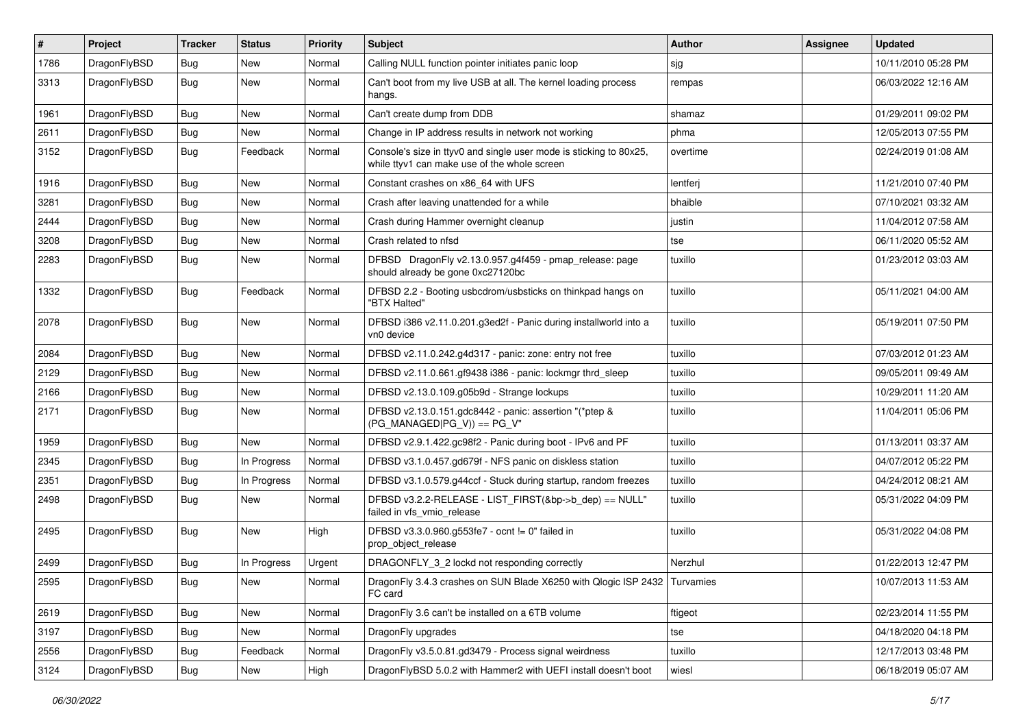| #    | Project      | <b>Tracker</b> | <b>Status</b> | <b>Priority</b> | Subject                                                                                                            | Author   | <b>Assignee</b> | <b>Updated</b>      |
|------|--------------|----------------|---------------|-----------------|--------------------------------------------------------------------------------------------------------------------|----------|-----------------|---------------------|
| 1786 | DragonFlyBSD | Bug            | <b>New</b>    | Normal          | Calling NULL function pointer initiates panic loop                                                                 | sjg      |                 | 10/11/2010 05:28 PM |
| 3313 | DragonFlyBSD | <b>Bug</b>     | New           | Normal          | Can't boot from my live USB at all. The kernel loading process<br>hangs.                                           | rempas   |                 | 06/03/2022 12:16 AM |
| 1961 | DragonFlyBSD | Bug            | <b>New</b>    | Normal          | Can't create dump from DDB                                                                                         | shamaz   |                 | 01/29/2011 09:02 PM |
| 2611 | DragonFlyBSD | <b>Bug</b>     | New           | Normal          | Change in IP address results in network not working                                                                | phma     |                 | 12/05/2013 07:55 PM |
| 3152 | DragonFlyBSD | <b>Bug</b>     | Feedback      | Normal          | Console's size in ttyv0 and single user mode is sticking to 80x25,<br>while ttyv1 can make use of the whole screen | overtime |                 | 02/24/2019 01:08 AM |
| 1916 | DragonFlyBSD | <b>Bug</b>     | New           | Normal          | Constant crashes on x86 64 with UFS                                                                                | lentferj |                 | 11/21/2010 07:40 PM |
| 3281 | DragonFlyBSD | Bug            | New           | Normal          | Crash after leaving unattended for a while                                                                         | bhaible  |                 | 07/10/2021 03:32 AM |
| 2444 | DragonFlyBSD | Bug            | <b>New</b>    | Normal          | Crash during Hammer overnight cleanup                                                                              | justin   |                 | 11/04/2012 07:58 AM |
| 3208 | DragonFlyBSD | <b>Bug</b>     | New           | Normal          | Crash related to nfsd                                                                                              | tse      |                 | 06/11/2020 05:52 AM |
| 2283 | DragonFlyBSD | Bug            | New           | Normal          | DFBSD DragonFly v2.13.0.957.g4f459 - pmap_release: page<br>should already be gone 0xc27120bc                       | tuxillo  |                 | 01/23/2012 03:03 AM |
| 1332 | DragonFlyBSD | Bug            | Feedback      | Normal          | DFBSD 2.2 - Booting usbcdrom/usbsticks on thinkpad hangs on<br>"BTX Halted"                                        | tuxillo  |                 | 05/11/2021 04:00 AM |
| 2078 | DragonFlyBSD | Bug            | New           | Normal          | DFBSD i386 v2.11.0.201.g3ed2f - Panic during installworld into a<br>vn0 device                                     | tuxillo  |                 | 05/19/2011 07:50 PM |
| 2084 | DragonFlyBSD | Bug            | <b>New</b>    | Normal          | DFBSD v2.11.0.242.g4d317 - panic: zone: entry not free                                                             | tuxillo  |                 | 07/03/2012 01:23 AM |
| 2129 | DragonFlyBSD | <b>Bug</b>     | <b>New</b>    | Normal          | DFBSD v2.11.0.661.gf9438 i386 - panic: lockmgr thrd_sleep                                                          | tuxillo  |                 | 09/05/2011 09:49 AM |
| 2166 | DragonFlyBSD | Bug            | New           | Normal          | DFBSD v2.13.0.109.g05b9d - Strange lockups                                                                         | tuxillo  |                 | 10/29/2011 11:20 AM |
| 2171 | DragonFlyBSD | Bug            | New           | Normal          | DFBSD v2.13.0.151.gdc8442 - panic: assertion "(*ptep &<br>$(PG_MANAGED PG_V)$ == PG_V"                             | tuxillo  |                 | 11/04/2011 05:06 PM |
| 1959 | DragonFlyBSD | Bug            | New           | Normal          | DFBSD v2.9.1.422.gc98f2 - Panic during boot - IPv6 and PF                                                          | tuxillo  |                 | 01/13/2011 03:37 AM |
| 2345 | DragonFlyBSD | <b>Bug</b>     | In Progress   | Normal          | DFBSD v3.1.0.457.gd679f - NFS panic on diskless station                                                            | tuxillo  |                 | 04/07/2012 05:22 PM |
| 2351 | DragonFlyBSD | Bug            | In Progress   | Normal          | DFBSD v3.1.0.579.g44ccf - Stuck during startup, random freezes                                                     | tuxillo  |                 | 04/24/2012 08:21 AM |
| 2498 | DragonFlyBSD | Bug            | New           | Normal          | DFBSD v3.2.2-RELEASE - LIST_FIRST(&bp->b_dep) == NULL"<br>failed in vfs_vmio_release                               | tuxillo  |                 | 05/31/2022 04:09 PM |
| 2495 | DragonFlyBSD | Bug            | New           | High            | DFBSD v3.3.0.960.g553fe7 - ocnt != 0" failed in<br>prop_object_release                                             | tuxillo  |                 | 05/31/2022 04:08 PM |
| 2499 | DragonFlyBSD | <b>Bug</b>     | In Progress   | Urgent          | DRAGONFLY 3 2 lockd not responding correctly                                                                       | Nerzhul  |                 | 01/22/2013 12:47 PM |
| 2595 | DragonFlyBSD | <b>Bug</b>     | New           | Normal          | DragonFly 3.4.3 crashes on SUN Blade X6250 with Qlogic ISP 2432 Turvamies<br>FC card                               |          |                 | 10/07/2013 11:53 AM |
| 2619 | DragonFlyBSD | <b>Bug</b>     | New           | Normal          | DragonFly 3.6 can't be installed on a 6TB volume                                                                   | ftigeot  |                 | 02/23/2014 11:55 PM |
| 3197 | DragonFlyBSD | Bug            | New           | Normal          | DragonFly upgrades                                                                                                 | tse      |                 | 04/18/2020 04:18 PM |
| 2556 | DragonFlyBSD | <b>Bug</b>     | Feedback      | Normal          | DragonFly v3.5.0.81.gd3479 - Process signal weirdness                                                              | tuxillo  |                 | 12/17/2013 03:48 PM |
| 3124 | DragonFlyBSD | <b>Bug</b>     | New           | High            | DragonFlyBSD 5.0.2 with Hammer2 with UEFI install doesn't boot                                                     | wiesl    |                 | 06/18/2019 05:07 AM |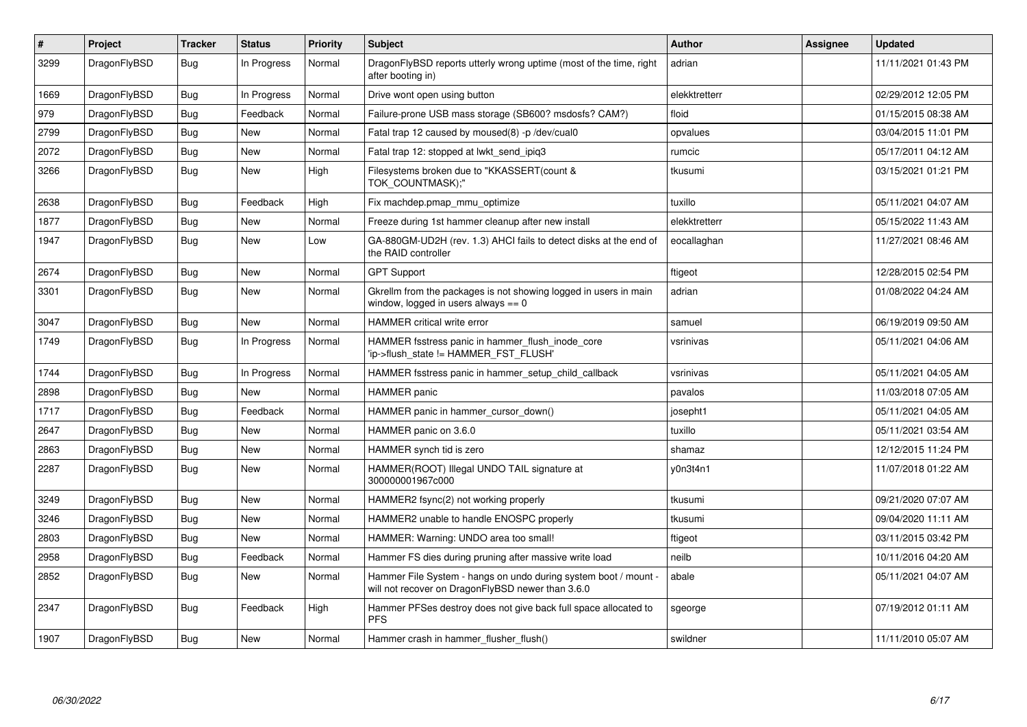| ∦    | <b>Project</b> | <b>Tracker</b> | <b>Status</b> | <b>Priority</b> | <b>Subject</b>                                                                                                       | <b>Author</b> | Assignee | <b>Updated</b>      |
|------|----------------|----------------|---------------|-----------------|----------------------------------------------------------------------------------------------------------------------|---------------|----------|---------------------|
| 3299 | DragonFlyBSD   | <b>Bug</b>     | In Progress   | Normal          | DragonFlyBSD reports utterly wrong uptime (most of the time, right<br>after booting in)                              | adrian        |          | 11/11/2021 01:43 PM |
| 1669 | DragonFlyBSD   | <b>Bug</b>     | In Progress   | Normal          | Drive wont open using button                                                                                         | elekktretterr |          | 02/29/2012 12:05 PM |
| 979  | DragonFlyBSD   | Bug            | Feedback      | Normal          | Failure-prone USB mass storage (SB600? msdosfs? CAM?)                                                                | floid         |          | 01/15/2015 08:38 AM |
| 2799 | DragonFlyBSD   | Bug            | <b>New</b>    | Normal          | Fatal trap 12 caused by moused(8) -p/dev/cual0                                                                       | opvalues      |          | 03/04/2015 11:01 PM |
| 2072 | DragonFlyBSD   | Bug            | <b>New</b>    | Normal          | Fatal trap 12: stopped at lwkt_send_ipiq3                                                                            | rumcic        |          | 05/17/2011 04:12 AM |
| 3266 | DragonFlyBSD   | Bug            | <b>New</b>    | High            | Filesystems broken due to "KKASSERT(count &<br>TOK COUNTMASK);"                                                      | tkusumi       |          | 03/15/2021 01:21 PM |
| 2638 | DragonFlyBSD   | <b>Bug</b>     | Feedback      | High            | Fix machdep.pmap_mmu_optimize                                                                                        | tuxillo       |          | 05/11/2021 04:07 AM |
| 1877 | DragonFlyBSD   | Bug            | <b>New</b>    | Normal          | Freeze during 1st hammer cleanup after new install                                                                   | elekktretterr |          | 05/15/2022 11:43 AM |
| 1947 | DragonFlyBSD   | Bug            | <b>New</b>    | Low             | GA-880GM-UD2H (rev. 1.3) AHCI fails to detect disks at the end of<br>the RAID controller                             | eocallaghan   |          | 11/27/2021 08:46 AM |
| 2674 | DragonFlyBSD   | Bug            | <b>New</b>    | Normal          | <b>GPT Support</b>                                                                                                   | ftigeot       |          | 12/28/2015 02:54 PM |
| 3301 | DragonFlyBSD   | Bug            | <b>New</b>    | Normal          | Gkrellm from the packages is not showing logged in users in main<br>window, logged in users always $== 0$            | adrian        |          | 01/08/2022 04:24 AM |
| 3047 | DragonFlyBSD   | <b>Bug</b>     | <b>New</b>    | Normal          | <b>HAMMER</b> critical write error                                                                                   | samuel        |          | 06/19/2019 09:50 AM |
| 1749 | DragonFlyBSD   | Bug            | In Progress   | Normal          | HAMMER fsstress panic in hammer flush inode core<br>'ip->flush_state != HAMMER_FST_FLUSH'                            | vsrinivas     |          | 05/11/2021 04:06 AM |
| 1744 | DragonFlyBSD   | <b>Bug</b>     | In Progress   | Normal          | HAMMER fsstress panic in hammer setup child callback                                                                 | vsrinivas     |          | 05/11/2021 04:05 AM |
| 2898 | DragonFlyBSD   | Bug            | <b>New</b>    | Normal          | <b>HAMMER</b> panic                                                                                                  | pavalos       |          | 11/03/2018 07:05 AM |
| 1717 | DragonFlyBSD   | <b>Bug</b>     | Feedback      | Normal          | HAMMER panic in hammer cursor down()                                                                                 | josepht1      |          | 05/11/2021 04:05 AM |
| 2647 | DragonFlyBSD   | Bug            | <b>New</b>    | Normal          | HAMMER panic on 3.6.0                                                                                                | tuxillo       |          | 05/11/2021 03:54 AM |
| 2863 | DragonFlyBSD   | Bug            | <b>New</b>    | Normal          | HAMMER synch tid is zero                                                                                             | shamaz        |          | 12/12/2015 11:24 PM |
| 2287 | DragonFlyBSD   | Bug            | <b>New</b>    | Normal          | HAMMER(ROOT) Illegal UNDO TAIL signature at<br>300000001967c000                                                      | y0n3t4n1      |          | 11/07/2018 01:22 AM |
| 3249 | DragonFlyBSD   | <b>Bug</b>     | <b>New</b>    | Normal          | HAMMER2 fsync(2) not working properly                                                                                | tkusumi       |          | 09/21/2020 07:07 AM |
| 3246 | DragonFlyBSD   | Bug            | <b>New</b>    | Normal          | HAMMER2 unable to handle ENOSPC properly                                                                             | tkusumi       |          | 09/04/2020 11:11 AM |
| 2803 | DragonFlyBSD   | Bug            | <b>New</b>    | Normal          | HAMMER: Warning: UNDO area too small!                                                                                | ftigeot       |          | 03/11/2015 03:42 PM |
| 2958 | DragonFlyBSD   | Bug            | Feedback      | Normal          | Hammer FS dies during pruning after massive write load                                                               | neilb         |          | 10/11/2016 04:20 AM |
| 2852 | DragonFlyBSD   | Bug            | New           | Normal          | Hammer File System - hangs on undo during system boot / mount -<br>will not recover on DragonFlyBSD newer than 3.6.0 | abale         |          | 05/11/2021 04:07 AM |
| 2347 | DragonFlyBSD   | Bug            | Feedback      | High            | Hammer PFSes destroy does not give back full space allocated to<br><b>PFS</b>                                        | sgeorge       |          | 07/19/2012 01:11 AM |
| 1907 | DragonFlyBSD   | Bug            | <b>New</b>    | Normal          | Hammer crash in hammer flusher flush()                                                                               | swildner      |          | 11/11/2010 05:07 AM |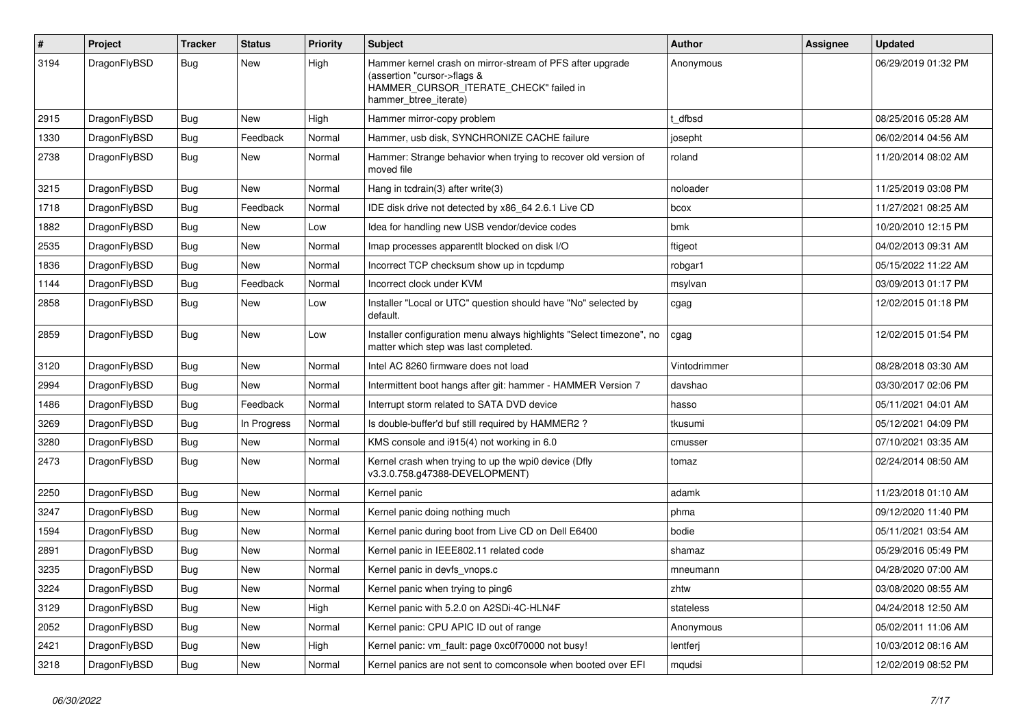| #    | Project      | <b>Tracker</b> | <b>Status</b> | <b>Priority</b> | Subject                                                                                                                                                     | <b>Author</b> | <b>Assignee</b> | <b>Updated</b>      |
|------|--------------|----------------|---------------|-----------------|-------------------------------------------------------------------------------------------------------------------------------------------------------------|---------------|-----------------|---------------------|
| 3194 | DragonFlyBSD | Bug            | New           | High            | Hammer kernel crash on mirror-stream of PFS after upgrade<br>(assertion "cursor->flags &<br>HAMMER_CURSOR_ITERATE_CHECK" failed in<br>hammer_btree_iterate) | Anonymous     |                 | 06/29/2019 01:32 PM |
| 2915 | DragonFlyBSD | <b>Bug</b>     | <b>New</b>    | High            | Hammer mirror-copy problem                                                                                                                                  | t dfbsd       |                 | 08/25/2016 05:28 AM |
| 1330 | DragonFlyBSD | <b>Bug</b>     | Feedback      | Normal          | Hammer, usb disk, SYNCHRONIZE CACHE failure                                                                                                                 | josepht       |                 | 06/02/2014 04:56 AM |
| 2738 | DragonFlyBSD | Bug            | New           | Normal          | Hammer: Strange behavior when trying to recover old version of<br>moved file                                                                                | roland        |                 | 11/20/2014 08:02 AM |
| 3215 | DragonFlyBSD | <b>Bug</b>     | <b>New</b>    | Normal          | Hang in tcdrain(3) after write(3)                                                                                                                           | noloader      |                 | 11/25/2019 03:08 PM |
| 1718 | DragonFlyBSD | <b>Bug</b>     | Feedback      | Normal          | IDE disk drive not detected by x86_64 2.6.1 Live CD                                                                                                         | bcox          |                 | 11/27/2021 08:25 AM |
| 1882 | DragonFlyBSD | <b>Bug</b>     | New           | Low             | Idea for handling new USB vendor/device codes                                                                                                               | bmk           |                 | 10/20/2010 12:15 PM |
| 2535 | DragonFlyBSD | <b>Bug</b>     | New           | Normal          | Imap processes apparentlt blocked on disk I/O                                                                                                               | ftigeot       |                 | 04/02/2013 09:31 AM |
| 1836 | DragonFlyBSD | <b>Bug</b>     | <b>New</b>    | Normal          | Incorrect TCP checksum show up in tcpdump                                                                                                                   | robgar1       |                 | 05/15/2022 11:22 AM |
| 1144 | DragonFlyBSD | <b>Bug</b>     | Feedback      | Normal          | Incorrect clock under KVM                                                                                                                                   | msylvan       |                 | 03/09/2013 01:17 PM |
| 2858 | DragonFlyBSD | <b>Bug</b>     | <b>New</b>    | Low             | Installer "Local or UTC" question should have "No" selected by<br>default.                                                                                  | cgag          |                 | 12/02/2015 01:18 PM |
| 2859 | DragonFlyBSD | <b>Bug</b>     | <b>New</b>    | Low             | Installer configuration menu always highlights "Select timezone", no<br>matter which step was last completed.                                               | cgag          |                 | 12/02/2015 01:54 PM |
| 3120 | DragonFlyBSD | <b>Bug</b>     | <b>New</b>    | Normal          | Intel AC 8260 firmware does not load                                                                                                                        | Vintodrimmer  |                 | 08/28/2018 03:30 AM |
| 2994 | DragonFlyBSD | <b>Bug</b>     | New           | Normal          | Intermittent boot hangs after git: hammer - HAMMER Version 7                                                                                                | davshao       |                 | 03/30/2017 02:06 PM |
| 1486 | DragonFlyBSD | <b>Bug</b>     | Feedback      | Normal          | Interrupt storm related to SATA DVD device                                                                                                                  | hasso         |                 | 05/11/2021 04:01 AM |
| 3269 | DragonFlyBSD | <b>Bug</b>     | In Progress   | Normal          | Is double-buffer'd buf still required by HAMMER2?                                                                                                           | tkusumi       |                 | 05/12/2021 04:09 PM |
| 3280 | DragonFlyBSD | <b>Bug</b>     | New           | Normal          | KMS console and i915(4) not working in 6.0                                                                                                                  | cmusser       |                 | 07/10/2021 03:35 AM |
| 2473 | DragonFlyBSD | <b>Bug</b>     | New           | Normal          | Kernel crash when trying to up the wpi0 device (Dfly<br>v3.3.0.758.g47388-DEVELOPMENT)                                                                      | tomaz         |                 | 02/24/2014 08:50 AM |
| 2250 | DragonFlyBSD | <b>Bug</b>     | <b>New</b>    | Normal          | Kernel panic                                                                                                                                                | adamk         |                 | 11/23/2018 01:10 AM |
| 3247 | DragonFlyBSD | <b>Bug</b>     | New           | Normal          | Kernel panic doing nothing much                                                                                                                             | phma          |                 | 09/12/2020 11:40 PM |
| 1594 | DragonFlyBSD | <b>Bug</b>     | New           | Normal          | Kernel panic during boot from Live CD on Dell E6400                                                                                                         | bodie         |                 | 05/11/2021 03:54 AM |
| 2891 | DragonFlyBSD | <b>Bug</b>     | <b>New</b>    | Normal          | Kernel panic in IEEE802.11 related code                                                                                                                     | shamaz        |                 | 05/29/2016 05:49 PM |
| 3235 | DragonFlyBSD | <b>Bug</b>     | New           | Normal          | Kernel panic in devfs vnops.c                                                                                                                               | mneumann      |                 | 04/28/2020 07:00 AM |
| 3224 | DragonFlyBSD | Bug            | <b>New</b>    | Normal          | Kernel panic when trying to ping6                                                                                                                           | zhtw          |                 | 03/08/2020 08:55 AM |
| 3129 | DragonFlyBSD | Bug            | New           | High            | Kernel panic with 5.2.0 on A2SDi-4C-HLN4F                                                                                                                   | stateless     |                 | 04/24/2018 12:50 AM |
| 2052 | DragonFlyBSD | <b>Bug</b>     | New           | Normal          | Kernel panic: CPU APIC ID out of range                                                                                                                      | Anonymous     |                 | 05/02/2011 11:06 AM |
| 2421 | DragonFlyBSD | <b>Bug</b>     | New           | High            | Kernel panic: vm fault: page 0xc0f70000 not busy!                                                                                                           | lentferj      |                 | 10/03/2012 08:16 AM |
| 3218 | DragonFlyBSD | <b>Bug</b>     | New           | Normal          | Kernel panics are not sent to comconsole when booted over EFI                                                                                               | mqudsi        |                 | 12/02/2019 08:52 PM |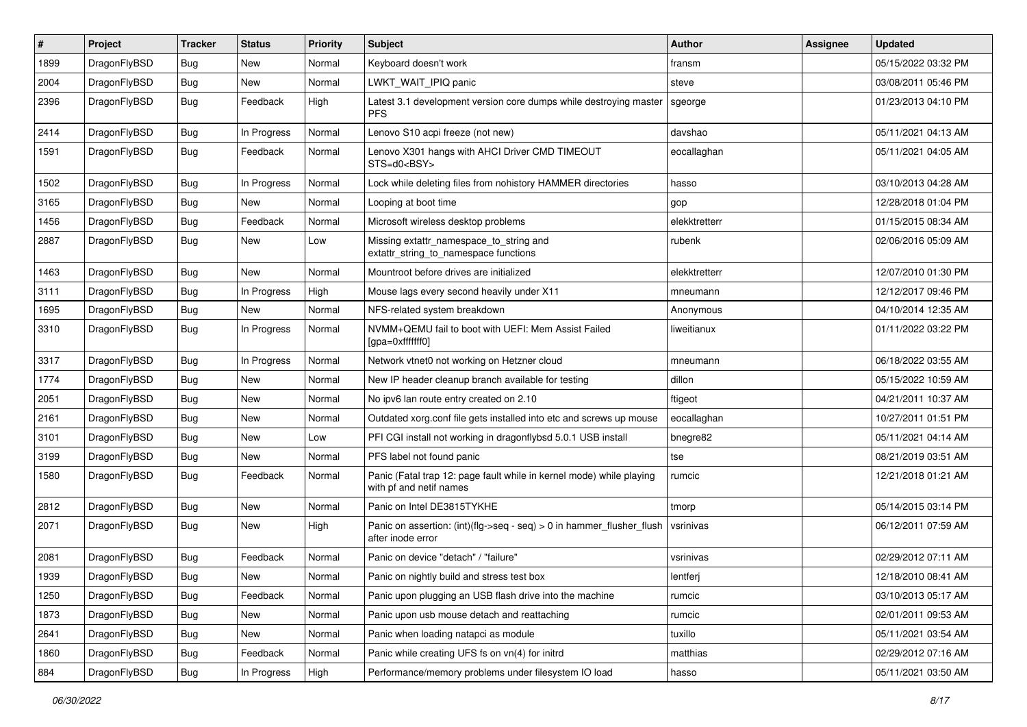| $\pmb{\#}$ | Project      | <b>Tracker</b> | <b>Status</b> | <b>Priority</b> | Subject                                                                                         | <b>Author</b> | Assignee | <b>Updated</b>      |
|------------|--------------|----------------|---------------|-----------------|-------------------------------------------------------------------------------------------------|---------------|----------|---------------------|
| 1899       | DragonFlyBSD | <b>Bug</b>     | <b>New</b>    | Normal          | Keyboard doesn't work                                                                           | fransm        |          | 05/15/2022 03:32 PM |
| 2004       | DragonFlyBSD | Bug            | <b>New</b>    | Normal          | LWKT_WAIT_IPIQ panic                                                                            | steve         |          | 03/08/2011 05:46 PM |
| 2396       | DragonFlyBSD | Bug            | Feedback      | High            | Latest 3.1 development version core dumps while destroying master<br><b>PFS</b>                 | sgeorge       |          | 01/23/2013 04:10 PM |
| 2414       | DragonFlyBSD | <b>Bug</b>     | In Progress   | Normal          | Lenovo S10 acpi freeze (not new)                                                                | davshao       |          | 05/11/2021 04:13 AM |
| 1591       | DragonFlyBSD | Bug            | Feedback      | Normal          | Lenovo X301 hangs with AHCI Driver CMD TIMEOUT<br>STS=d0 <bsy></bsy>                            | eocallaghan   |          | 05/11/2021 04:05 AM |
| 1502       | DragonFlyBSD | <b>Bug</b>     | In Progress   | Normal          | Lock while deleting files from nohistory HAMMER directories                                     | hasso         |          | 03/10/2013 04:28 AM |
| 3165       | DragonFlyBSD | Bug            | New           | Normal          | Looping at boot time                                                                            | gop           |          | 12/28/2018 01:04 PM |
| 1456       | DragonFlyBSD | Bug            | Feedback      | Normal          | Microsoft wireless desktop problems                                                             | elekktretterr |          | 01/15/2015 08:34 AM |
| 2887       | DragonFlyBSD | Bug            | New           | Low             | Missing extattr_namespace_to_string and<br>extattr_string_to_namespace functions                | rubenk        |          | 02/06/2016 05:09 AM |
| 1463       | DragonFlyBSD | Bug            | <b>New</b>    | Normal          | Mountroot before drives are initialized                                                         | elekktretterr |          | 12/07/2010 01:30 PM |
| 3111       | DragonFlyBSD | Bug            | In Progress   | High            | Mouse lags every second heavily under X11                                                       | mneumann      |          | 12/12/2017 09:46 PM |
| 1695       | DragonFlyBSD | Bug            | <b>New</b>    | Normal          | NFS-related system breakdown                                                                    | Anonymous     |          | 04/10/2014 12:35 AM |
| 3310       | DragonFlyBSD | Bug            | In Progress   | Normal          | NVMM+QEMU fail to boot with UEFI: Mem Assist Failed<br>[gpa=0xfffffff0]                         | liweitianux   |          | 01/11/2022 03:22 PM |
| 3317       | DragonFlyBSD | Bug            | In Progress   | Normal          | Network vtnet0 not working on Hetzner cloud                                                     | mneumann      |          | 06/18/2022 03:55 AM |
| 1774       | DragonFlyBSD | <b>Bug</b>     | New           | Normal          | New IP header cleanup branch available for testing                                              | dillon        |          | 05/15/2022 10:59 AM |
| 2051       | DragonFlyBSD | <b>Bug</b>     | <b>New</b>    | Normal          | No ipv6 lan route entry created on 2.10                                                         | ftigeot       |          | 04/21/2011 10:37 AM |
| 2161       | DragonFlyBSD | <b>Bug</b>     | New           | Normal          | Outdated xorg.conf file gets installed into etc and screws up mouse                             | eocallaghan   |          | 10/27/2011 01:51 PM |
| 3101       | DragonFlyBSD | <b>Bug</b>     | New           | Low             | PFI CGI install not working in dragonflybsd 5.0.1 USB install                                   | bnegre82      |          | 05/11/2021 04:14 AM |
| 3199       | DragonFlyBSD | Bug            | New           | Normal          | PFS label not found panic                                                                       | tse           |          | 08/21/2019 03:51 AM |
| 1580       | DragonFlyBSD | Bug            | Feedback      | Normal          | Panic (Fatal trap 12: page fault while in kernel mode) while playing<br>with pf and netif names | rumcic        |          | 12/21/2018 01:21 AM |
| 2812       | DragonFlyBSD | Bug            | New           | Normal          | Panic on Intel DE3815TYKHE                                                                      | tmorp         |          | 05/14/2015 03:14 PM |
| 2071       | DragonFlyBSD | Bug            | New           | High            | Panic on assertion: (int)(flg->seq - seq) > 0 in hammer_flusher_flush<br>after inode error      | vsrinivas     |          | 06/12/2011 07:59 AM |
| 2081       | DragonFlyBSD | <b>Bug</b>     | Feedback      | Normal          | Panic on device "detach" / "failure"                                                            | vsrinivas     |          | 02/29/2012 07:11 AM |
| 1939       | DragonFlyBSD | Bug            | New           | Normal          | Panic on nightly build and stress test box                                                      | lentferj      |          | 12/18/2010 08:41 AM |
| 1250       | DragonFlyBSD | Bug            | Feedback      | Normal          | Panic upon plugging an USB flash drive into the machine                                         | rumcic        |          | 03/10/2013 05:17 AM |
| 1873       | DragonFlyBSD | <b>Bug</b>     | New           | Normal          | Panic upon usb mouse detach and reattaching                                                     | rumcic        |          | 02/01/2011 09:53 AM |
| 2641       | DragonFlyBSD | <b>Bug</b>     | New           | Normal          | Panic when loading natapci as module                                                            | tuxillo       |          | 05/11/2021 03:54 AM |
| 1860       | DragonFlyBSD | Bug            | Feedback      | Normal          | Panic while creating UFS fs on vn(4) for initrd                                                 | matthias      |          | 02/29/2012 07:16 AM |
| 884        | DragonFlyBSD | Bug            | In Progress   | High            | Performance/memory problems under filesystem IO load                                            | hasso         |          | 05/11/2021 03:50 AM |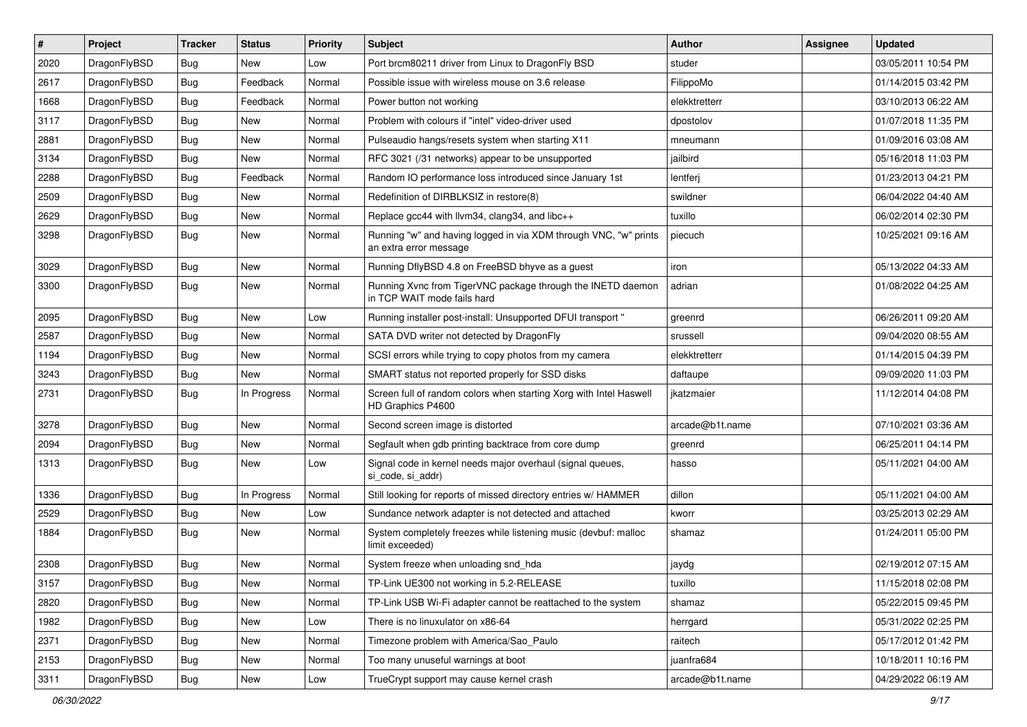| $\pmb{\#}$ | Project      | <b>Tracker</b> | <b>Status</b> | <b>Priority</b> | Subject                                                                                    | <b>Author</b>   | <b>Assignee</b> | <b>Updated</b>      |
|------------|--------------|----------------|---------------|-----------------|--------------------------------------------------------------------------------------------|-----------------|-----------------|---------------------|
| 2020       | DragonFlyBSD | Bug            | New           | Low             | Port brcm80211 driver from Linux to DragonFly BSD                                          | studer          |                 | 03/05/2011 10:54 PM |
| 2617       | DragonFlyBSD | Bug            | Feedback      | Normal          | Possible issue with wireless mouse on 3.6 release                                          | FilippoMo       |                 | 01/14/2015 03:42 PM |
| 1668       | DragonFlyBSD | Bug            | Feedback      | Normal          | Power button not working                                                                   | elekktretterr   |                 | 03/10/2013 06:22 AM |
| 3117       | DragonFlyBSD | Bug            | New           | Normal          | Problem with colours if "intel" video-driver used                                          | dpostolov       |                 | 01/07/2018 11:35 PM |
| 2881       | DragonFlyBSD | Bug            | <b>New</b>    | Normal          | Pulseaudio hangs/resets system when starting X11                                           | mneumann        |                 | 01/09/2016 03:08 AM |
| 3134       | DragonFlyBSD | Bug            | New           | Normal          | RFC 3021 (/31 networks) appear to be unsupported                                           | jailbird        |                 | 05/16/2018 11:03 PM |
| 2288       | DragonFlyBSD | Bug            | Feedback      | Normal          | Random IO performance loss introduced since January 1st                                    | lentferj        |                 | 01/23/2013 04:21 PM |
| 2509       | DragonFlyBSD | Bug            | New           | Normal          | Redefinition of DIRBLKSIZ in restore(8)                                                    | swildner        |                 | 06/04/2022 04:40 AM |
| 2629       | DragonFlyBSD | Bug            | <b>New</b>    | Normal          | Replace gcc44 with llvm34, clang34, and libc++                                             | tuxillo         |                 | 06/02/2014 02:30 PM |
| 3298       | DragonFlyBSD | <b>Bug</b>     | <b>New</b>    | Normal          | Running "w" and having logged in via XDM through VNC, "w" prints<br>an extra error message | piecuch         |                 | 10/25/2021 09:16 AM |
| 3029       | DragonFlyBSD | Bug            | <b>New</b>    | Normal          | Running DflyBSD 4.8 on FreeBSD bhyve as a guest                                            | iron            |                 | 05/13/2022 04:33 AM |
| 3300       | DragonFlyBSD | Bug            | New           | Normal          | Running Xvnc from TigerVNC package through the INETD daemon<br>in TCP WAIT mode fails hard | adrian          |                 | 01/08/2022 04:25 AM |
| 2095       | DragonFlyBSD | Bug            | <b>New</b>    | Low             | Running installer post-install: Unsupported DFUI transport "                               | greenrd         |                 | 06/26/2011 09:20 AM |
| 2587       | DragonFlyBSD | Bug            | <b>New</b>    | Normal          | SATA DVD writer not detected by DragonFly                                                  | srussell        |                 | 09/04/2020 08:55 AM |
| 1194       | DragonFlyBSD | Bug            | New           | Normal          | SCSI errors while trying to copy photos from my camera                                     | elekktretterr   |                 | 01/14/2015 04:39 PM |
| 3243       | DragonFlyBSD | Bug            | <b>New</b>    | Normal          | SMART status not reported properly for SSD disks                                           | daftaupe        |                 | 09/09/2020 11:03 PM |
| 2731       | DragonFlyBSD | Bug            | In Progress   | Normal          | Screen full of random colors when starting Xorg with Intel Haswell<br>HD Graphics P4600    | jkatzmaier      |                 | 11/12/2014 04:08 PM |
| 3278       | DragonFlyBSD | <b>Bug</b>     | New           | Normal          | Second screen image is distorted                                                           | arcade@b1t.name |                 | 07/10/2021 03:36 AM |
| 2094       | DragonFlyBSD | Bug            | New           | Normal          | Segfault when gdb printing backtrace from core dump                                        | greenrd         |                 | 06/25/2011 04:14 PM |
| 1313       | DragonFlyBSD | Bug            | New           | Low             | Signal code in kernel needs major overhaul (signal queues,<br>si_code, si_addr)            | hasso           |                 | 05/11/2021 04:00 AM |
| 1336       | DragonFlyBSD | Bug            | In Progress   | Normal          | Still looking for reports of missed directory entries w/ HAMMER                            | dillon          |                 | 05/11/2021 04:00 AM |
| 2529       | DragonFlyBSD | Bug            | New           | Low             | Sundance network adapter is not detected and attached                                      | kworr           |                 | 03/25/2013 02:29 AM |
| 1884       | DragonFlyBSD | Bug            | New           | Normal          | System completely freezes while listening music (devbuf: malloc<br>limit exceeded)         | shamaz          |                 | 01/24/2011 05:00 PM |
| 2308       | DragonFlyBSD | Bug            | New           | Normal          | System freeze when unloading snd_hda                                                       | jaydg           |                 | 02/19/2012 07:15 AM |
| 3157       | DragonFlyBSD | Bug            | New           | Normal          | TP-Link UE300 not working in 5.2-RELEASE                                                   | tuxillo         |                 | 11/15/2018 02:08 PM |
| 2820       | DragonFlyBSD | Bug            | New           | Normal          | TP-Link USB Wi-Fi adapter cannot be reattached to the system                               | shamaz          |                 | 05/22/2015 09:45 PM |
| 1982       | DragonFlyBSD | <b>Bug</b>     | New           | Low             | There is no linuxulator on x86-64                                                          | herrgard        |                 | 05/31/2022 02:25 PM |
| 2371       | DragonFlyBSD | <b>Bug</b>     | New           | Normal          | Timezone problem with America/Sao_Paulo                                                    | raitech         |                 | 05/17/2012 01:42 PM |
| 2153       | DragonFlyBSD | Bug            | New           | Normal          | Too many unuseful warnings at boot                                                         | juanfra684      |                 | 10/18/2011 10:16 PM |
| 3311       | DragonFlyBSD | Bug            | New           | Low             | TrueCrypt support may cause kernel crash                                                   | arcade@b1t.name |                 | 04/29/2022 06:19 AM |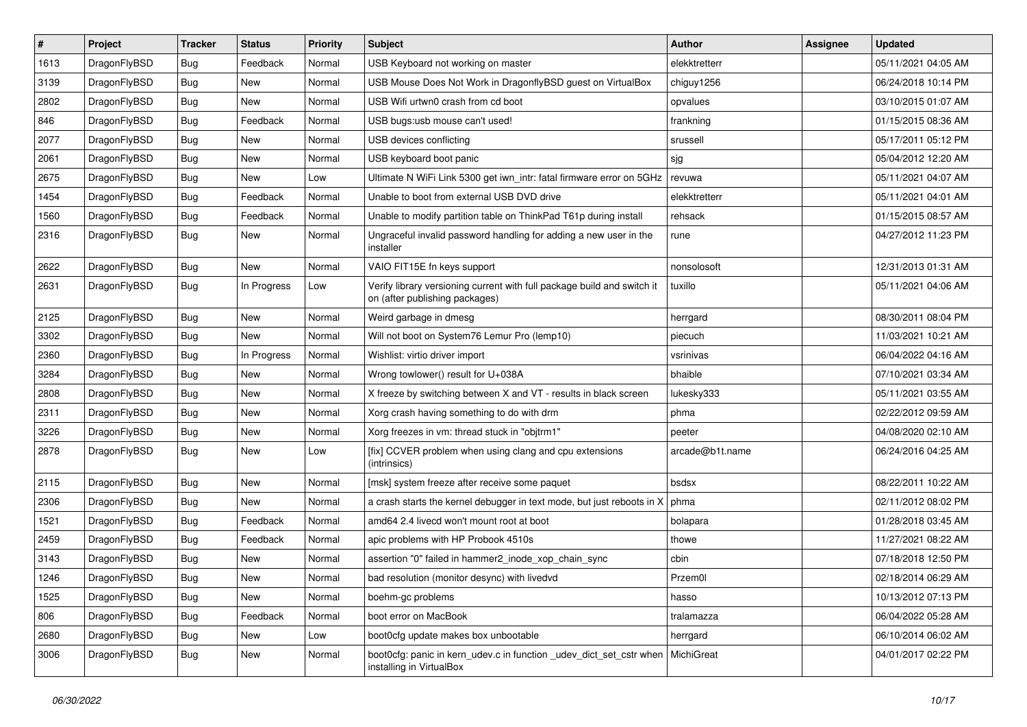| $\sharp$ | Project      | <b>Tracker</b> | <b>Status</b> | <b>Priority</b> | Subject                                                                                                   | <b>Author</b>   | Assignee | <b>Updated</b>      |
|----------|--------------|----------------|---------------|-----------------|-----------------------------------------------------------------------------------------------------------|-----------------|----------|---------------------|
| 1613     | DragonFlyBSD | <b>Bug</b>     | Feedback      | Normal          | USB Keyboard not working on master                                                                        | elekktretterr   |          | 05/11/2021 04:05 AM |
| 3139     | DragonFlyBSD | Bug            | New           | Normal          | USB Mouse Does Not Work in DragonflyBSD guest on VirtualBox                                               | chiguy1256      |          | 06/24/2018 10:14 PM |
| 2802     | DragonFlyBSD | <b>Bug</b>     | New           | Normal          | USB Wifi urtwn0 crash from cd boot                                                                        | opvalues        |          | 03/10/2015 01:07 AM |
| 846      | DragonFlyBSD | <b>Bug</b>     | Feedback      | Normal          | USB bugs:usb mouse can't used!                                                                            | frankning       |          | 01/15/2015 08:36 AM |
| 2077     | DragonFlyBSD | Bug            | New           | Normal          | USB devices conflicting                                                                                   | srussell        |          | 05/17/2011 05:12 PM |
| 2061     | DragonFlyBSD | <b>Bug</b>     | <b>New</b>    | Normal          | USB keyboard boot panic                                                                                   | sjg             |          | 05/04/2012 12:20 AM |
| 2675     | DragonFlyBSD | <b>Bug</b>     | New           | Low             | Ultimate N WiFi Link 5300 get iwn_intr: fatal firmware error on 5GHz                                      | revuwa          |          | 05/11/2021 04:07 AM |
| 1454     | DragonFlyBSD | <b>Bug</b>     | Feedback      | Normal          | Unable to boot from external USB DVD drive                                                                | elekktretterr   |          | 05/11/2021 04:01 AM |
| 1560     | DragonFlyBSD | <b>Bug</b>     | Feedback      | Normal          | Unable to modify partition table on ThinkPad T61p during install                                          | rehsack         |          | 01/15/2015 08:57 AM |
| 2316     | DragonFlyBSD | Bug            | New           | Normal          | Ungraceful invalid password handling for adding a new user in the<br>installer                            | rune            |          | 04/27/2012 11:23 PM |
| 2622     | DragonFlyBSD | Bug            | New           | Normal          | VAIO FIT15E fn keys support                                                                               | nonsolosoft     |          | 12/31/2013 01:31 AM |
| 2631     | DragonFlyBSD | Bug            | In Progress   | Low             | Verify library versioning current with full package build and switch it<br>on (after publishing packages) | tuxillo         |          | 05/11/2021 04:06 AM |
| 2125     | DragonFlyBSD | Bug            | New           | Normal          | Weird garbage in dmesg                                                                                    | herrgard        |          | 08/30/2011 08:04 PM |
| 3302     | DragonFlyBSD | <b>Bug</b>     | New           | Normal          | Will not boot on System76 Lemur Pro (lemp10)                                                              | piecuch         |          | 11/03/2021 10:21 AM |
| 2360     | DragonFlyBSD | <b>Bug</b>     | In Progress   | Normal          | Wishlist: virtio driver import                                                                            | vsrinivas       |          | 06/04/2022 04:16 AM |
| 3284     | DragonFlyBSD | Bug            | <b>New</b>    | Normal          | Wrong towlower() result for U+038A                                                                        | bhaible         |          | 07/10/2021 03:34 AM |
| 2808     | DragonFlyBSD | Bug            | New           | Normal          | X freeze by switching between X and VT - results in black screen                                          | lukesky333      |          | 05/11/2021 03:55 AM |
| 2311     | DragonFlyBSD | <b>Bug</b>     | New           | Normal          | Xorg crash having something to do with drm                                                                | phma            |          | 02/22/2012 09:59 AM |
| 3226     | DragonFlyBSD | <b>Bug</b>     | New           | Normal          | Xorg freezes in vm: thread stuck in "objtrm1"                                                             | peeter          |          | 04/08/2020 02:10 AM |
| 2878     | DragonFlyBSD | Bug            | New           | Low             | [fix] CCVER problem when using clang and cpu extensions<br>(intrinsics)                                   | arcade@b1t.name |          | 06/24/2016 04:25 AM |
| 2115     | DragonFlyBSD | Bug            | New           | Normal          | [msk] system freeze after receive some paquet                                                             | bsdsx           |          | 08/22/2011 10:22 AM |
| 2306     | DragonFlyBSD | Bug            | New           | Normal          | a crash starts the kernel debugger in text mode, but just reboots in X                                    | phma            |          | 02/11/2012 08:02 PM |
| 1521     | DragonFlyBSD | Bug            | Feedback      | Normal          | amd64 2.4 livecd won't mount root at boot                                                                 | bolapara        |          | 01/28/2018 03:45 AM |
| 2459     | DragonFlyBSD | Bug            | Feedback      | Normal          | apic problems with HP Probook 4510s                                                                       | thowe           |          | 11/27/2021 08:22 AM |
| 3143     | DragonFlyBSD | Bug            | New           | Normal          | assertion "0" failed in hammer2_inode_xop_chain_sync                                                      | cbin            |          | 07/18/2018 12:50 PM |
| 1246     | DragonFlyBSD | Bug            | <b>New</b>    | Normal          | bad resolution (monitor desync) with livedvd                                                              | Przem0l         |          | 02/18/2014 06:29 AM |
| 1525     | DragonFlyBSD | <b>Bug</b>     | <b>New</b>    | Normal          | boehm-gc problems                                                                                         | hasso           |          | 10/13/2012 07:13 PM |
| 806      | DragonFlyBSD | <b>Bug</b>     | Feedback      | Normal          | boot error on MacBook                                                                                     | tralamazza      |          | 06/04/2022 05:28 AM |
| 2680     | DragonFlyBSD | <b>Bug</b>     | New           | Low             | boot0cfg update makes box unbootable                                                                      | herrgard        |          | 06/10/2014 06:02 AM |
| 3006     | DragonFlyBSD | <b>Bug</b>     | New           | Normal          | boot0cfg: panic in kern udev.c in function udev dict set cstr when MichiGreat<br>installing in VirtualBox |                 |          | 04/01/2017 02:22 PM |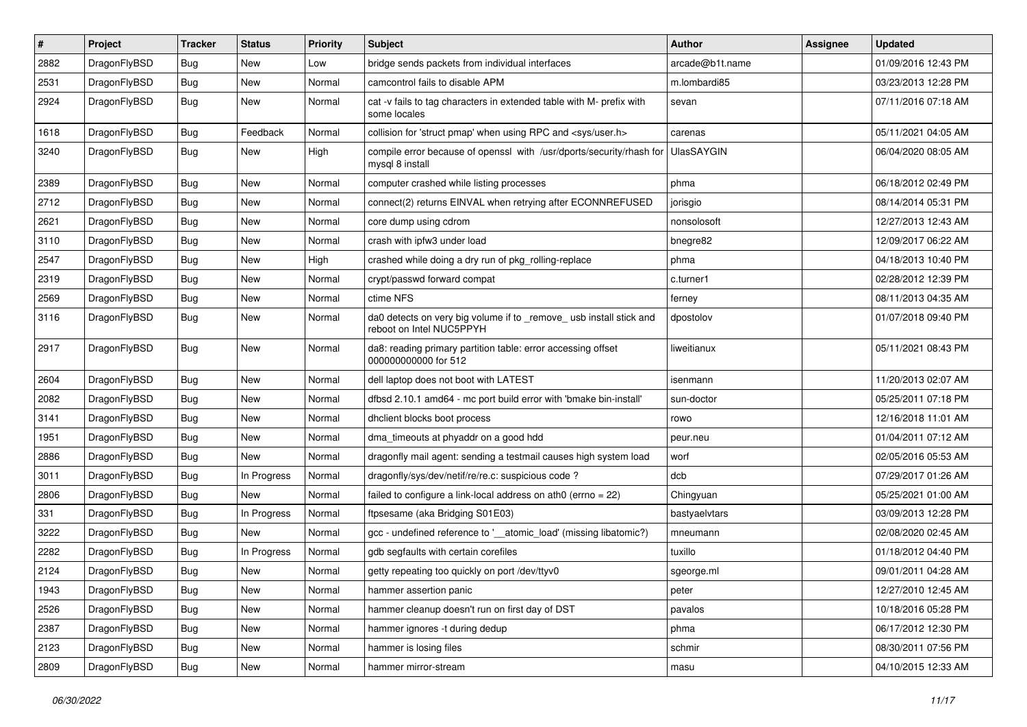| $\sharp$ | Project      | <b>Tracker</b> | <b>Status</b> | <b>Priority</b> | Subject                                                                                        | <b>Author</b>   | <b>Assignee</b> | <b>Updated</b>      |
|----------|--------------|----------------|---------------|-----------------|------------------------------------------------------------------------------------------------|-----------------|-----------------|---------------------|
| 2882     | DragonFlyBSD | Bug            | <b>New</b>    | Low             | bridge sends packets from individual interfaces                                                | arcade@b1t.name |                 | 01/09/2016 12:43 PM |
| 2531     | DragonFlyBSD | <b>Bug</b>     | <b>New</b>    | Normal          | camcontrol fails to disable APM                                                                | m.lombardi85    |                 | 03/23/2013 12:28 PM |
| 2924     | DragonFlyBSD | Bug            | New           | Normal          | cat -v fails to tag characters in extended table with M- prefix with<br>some locales           | sevan           |                 | 07/11/2016 07:18 AM |
| 1618     | DragonFlyBSD | Bug            | Feedback      | Normal          | collision for 'struct pmap' when using RPC and <sys user.h=""></sys>                           | carenas         |                 | 05/11/2021 04:05 AM |
| 3240     | DragonFlyBSD | Bug            | <b>New</b>    | High            | compile error because of openssl with /usr/dports/security/rhash for<br>mysql 8 install        | UlasSAYGIN      |                 | 06/04/2020 08:05 AM |
| 2389     | DragonFlyBSD | Bug            | New           | Normal          | computer crashed while listing processes                                                       | phma            |                 | 06/18/2012 02:49 PM |
| 2712     | DragonFlyBSD | Bug            | New           | Normal          | connect(2) returns EINVAL when retrying after ECONNREFUSED                                     | jorisgio        |                 | 08/14/2014 05:31 PM |
| 2621     | DragonFlyBSD | Bug            | <b>New</b>    | Normal          | core dump using cdrom                                                                          | nonsolosoft     |                 | 12/27/2013 12:43 AM |
| 3110     | DragonFlyBSD | Bug            | New           | Normal          | crash with ipfw3 under load                                                                    | bnegre82        |                 | 12/09/2017 06:22 AM |
| 2547     | DragonFlyBSD | Bug            | <b>New</b>    | High            | crashed while doing a dry run of pkg rolling-replace                                           | phma            |                 | 04/18/2013 10:40 PM |
| 2319     | DragonFlyBSD | Bug            | New           | Normal          | crypt/passwd forward compat                                                                    | c.turner1       |                 | 02/28/2012 12:39 PM |
| 2569     | DragonFlyBSD | Bug            | <b>New</b>    | Normal          | ctime NFS                                                                                      | ferney          |                 | 08/11/2013 04:35 AM |
| 3116     | DragonFlyBSD | <b>Bug</b>     | New           | Normal          | da0 detects on very big volume if to _remove_usb install stick and<br>reboot on Intel NUC5PPYH | dpostolov       |                 | 01/07/2018 09:40 PM |
| 2917     | DragonFlyBSD | Bug            | New           | Normal          | da8: reading primary partition table: error accessing offset<br>000000000000 for 512           | liweitianux     |                 | 05/11/2021 08:43 PM |
| 2604     | DragonFlyBSD | Bug            | <b>New</b>    | Normal          | dell laptop does not boot with LATEST                                                          | isenmann        |                 | 11/20/2013 02:07 AM |
| 2082     | DragonFlyBSD | Bug            | New           | Normal          | dfbsd 2.10.1 amd64 - mc port build error with 'bmake bin-install'                              | sun-doctor      |                 | 05/25/2011 07:18 PM |
| 3141     | DragonFlyBSD | <b>Bug</b>     | New           | Normal          | dhclient blocks boot process                                                                   | rowo            |                 | 12/16/2018 11:01 AM |
| 1951     | DragonFlyBSD | Bug            | <b>New</b>    | Normal          | dma_timeouts at phyaddr on a good hdd                                                          | peur.neu        |                 | 01/04/2011 07:12 AM |
| 2886     | DragonFlyBSD | Bug            | New           | Normal          | dragonfly mail agent: sending a testmail causes high system load                               | worf            |                 | 02/05/2016 05:53 AM |
| 3011     | DragonFlyBSD | Bug            | In Progress   | Normal          | dragonfly/sys/dev/netif/re/re.c: suspicious code?                                              | dcb             |                 | 07/29/2017 01:26 AM |
| 2806     | DragonFlyBSD | <b>Bug</b>     | New           | Normal          | failed to configure a link-local address on ath0 (errno = $22$ )                               | Chingyuan       |                 | 05/25/2021 01:00 AM |
| 331      | DragonFlyBSD | Bug            | In Progress   | Normal          | ftpsesame (aka Bridging S01E03)                                                                | bastyaelvtars   |                 | 03/09/2013 12:28 PM |
| 3222     | DragonFlyBSD | <b>Bug</b>     | <b>New</b>    | Normal          | gcc - undefined reference to '__atomic_load' (missing libatomic?)                              | mneumann        |                 | 02/08/2020 02:45 AM |
| 2282     | DragonFlyBSD | <b>Bug</b>     | In Progress   | Normal          | gdb segfaults with certain corefiles                                                           | tuxillo         |                 | 01/18/2012 04:40 PM |
| 2124     | DragonFlyBSD | <b>Bug</b>     | <b>New</b>    | Normal          | getty repeating too quickly on port /dev/ttyv0                                                 | sgeorge.ml      |                 | 09/01/2011 04:28 AM |
| 1943     | DragonFlyBSD | <b>Bug</b>     | New           | Normal          | hammer assertion panic                                                                         | peter           |                 | 12/27/2010 12:45 AM |
| 2526     | DragonFlyBSD | <b>Bug</b>     | <b>New</b>    | Normal          | hammer cleanup doesn't run on first day of DST                                                 | pavalos         |                 | 10/18/2016 05:28 PM |
| 2387     | DragonFlyBSD | <b>Bug</b>     | New           | Normal          | hammer ignores -t during dedup                                                                 | phma            |                 | 06/17/2012 12:30 PM |
| 2123     | DragonFlyBSD | <b>Bug</b>     | New           | Normal          | hammer is losing files                                                                         | schmir          |                 | 08/30/2011 07:56 PM |
| 2809     | DragonFlyBSD | <b>Bug</b>     | New           | Normal          | hammer mirror-stream                                                                           | masu            |                 | 04/10/2015 12:33 AM |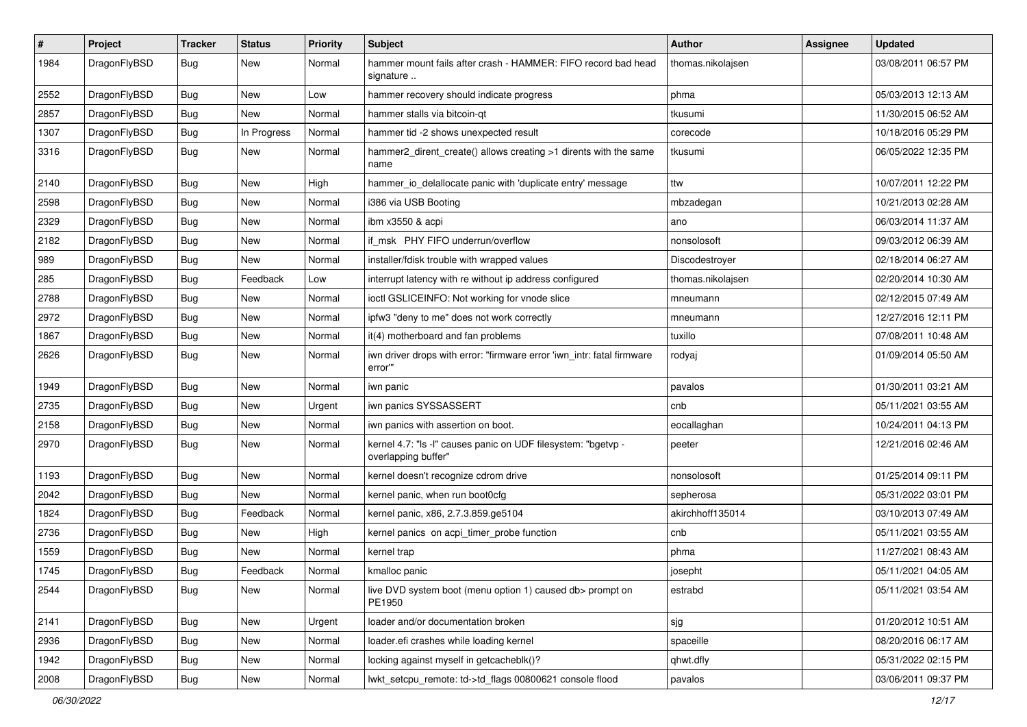| $\pmb{\#}$ | Project      | <b>Tracker</b> | <b>Status</b> | <b>Priority</b> | Subject                                                                              | Author            | Assignee | <b>Updated</b>      |
|------------|--------------|----------------|---------------|-----------------|--------------------------------------------------------------------------------------|-------------------|----------|---------------------|
| 1984       | DragonFlyBSD | Bug            | New           | Normal          | hammer mount fails after crash - HAMMER: FIFO record bad head<br>signature           | thomas.nikolajsen |          | 03/08/2011 06:57 PM |
| 2552       | DragonFlyBSD | <b>Bug</b>     | <b>New</b>    | Low             | hammer recovery should indicate progress                                             | phma              |          | 05/03/2013 12:13 AM |
| 2857       | DragonFlyBSD | Bug            | <b>New</b>    | Normal          | hammer stalls via bitcoin-qt                                                         | tkusumi           |          | 11/30/2015 06:52 AM |
| 1307       | DragonFlyBSD | <b>Bug</b>     | In Progress   | Normal          | hammer tid -2 shows unexpected result                                                | corecode          |          | 10/18/2016 05:29 PM |
| 3316       | DragonFlyBSD | Bug            | New           | Normal          | hammer2_dirent_create() allows creating >1 dirents with the same<br>name             | tkusumi           |          | 06/05/2022 12:35 PM |
| 2140       | DragonFlyBSD | Bug            | <b>New</b>    | High            | hammer_io_delallocate panic with 'duplicate entry' message                           | ttw               |          | 10/07/2011 12:22 PM |
| 2598       | DragonFlyBSD | <b>Bug</b>     | New           | Normal          | i386 via USB Booting                                                                 | mbzadegan         |          | 10/21/2013 02:28 AM |
| 2329       | DragonFlyBSD | <b>Bug</b>     | <b>New</b>    | Normal          | ibm x3550 & acpi                                                                     | ano               |          | 06/03/2014 11:37 AM |
| 2182       | DragonFlyBSD | <b>Bug</b>     | New           | Normal          | if msk PHY FIFO underrun/overflow                                                    | nonsolosoft       |          | 09/03/2012 06:39 AM |
| 989        | DragonFlyBSD | Bug            | New           | Normal          | installer/fdisk trouble with wrapped values                                          | Discodestroyer    |          | 02/18/2014 06:27 AM |
| 285        | DragonFlyBSD | <b>Bug</b>     | Feedback      | Low             | interrupt latency with re without ip address configured                              | thomas.nikolajsen |          | 02/20/2014 10:30 AM |
| 2788       | DragonFlyBSD | <b>Bug</b>     | New           | Normal          | ioctl GSLICEINFO: Not working for vnode slice                                        | mneumann          |          | 02/12/2015 07:49 AM |
| 2972       | DragonFlyBSD | Bug            | <b>New</b>    | Normal          | ipfw3 "deny to me" does not work correctly                                           | mneumann          |          | 12/27/2016 12:11 PM |
| 1867       | DragonFlyBSD | <b>Bug</b>     | New           | Normal          | it(4) motherboard and fan problems                                                   | tuxillo           |          | 07/08/2011 10:48 AM |
| 2626       | DragonFlyBSD | Bug            | <b>New</b>    | Normal          | iwn driver drops with error: "firmware error 'iwn intr: fatal firmware<br>error"     | rodyaj            |          | 01/09/2014 05:50 AM |
| 1949       | DragonFlyBSD | <b>Bug</b>     | <b>New</b>    | Normal          | iwn panic                                                                            | pavalos           |          | 01/30/2011 03:21 AM |
| 2735       | DragonFlyBSD | Bug            | <b>New</b>    | Urgent          | iwn panics SYSSASSERT                                                                | cnb               |          | 05/11/2021 03:55 AM |
| 2158       | DragonFlyBSD | <b>Bug</b>     | <b>New</b>    | Normal          | iwn panics with assertion on boot.                                                   | eocallaghan       |          | 10/24/2011 04:13 PM |
| 2970       | DragonFlyBSD | Bug            | <b>New</b>    | Normal          | kernel 4.7: "Is -I" causes panic on UDF filesystem: "bgetvp -<br>overlapping buffer" | peeter            |          | 12/21/2016 02:46 AM |
| 1193       | DragonFlyBSD | Bug            | <b>New</b>    | Normal          | kernel doesn't recognize cdrom drive                                                 | nonsolosoft       |          | 01/25/2014 09:11 PM |
| 2042       | DragonFlyBSD | <b>Bug</b>     | <b>New</b>    | Normal          | kernel panic, when run boot0cfg                                                      | sepherosa         |          | 05/31/2022 03:01 PM |
| 1824       | DragonFlyBSD | <b>Bug</b>     | Feedback      | Normal          | kernel panic, x86, 2.7.3.859.ge5104                                                  | akirchhoff135014  |          | 03/10/2013 07:49 AM |
| 2736       | DragonFlyBSD | <b>Bug</b>     | New           | High            | kernel panics on acpi_timer_probe function                                           | cnb               |          | 05/11/2021 03:55 AM |
| 1559       | DragonFlyBSD | Bug            | <b>New</b>    | Normal          | kernel trap                                                                          | phma              |          | 11/27/2021 08:43 AM |
| 1745       | DragonFlyBSD | <b>Bug</b>     | Feedback      | Normal          | kmalloc panic                                                                        | josepht           |          | 05/11/2021 04:05 AM |
| 2544       | DragonFlyBSD | <b>Bug</b>     | New           | Normal          | live DVD system boot (menu option 1) caused db> prompt on<br>PE1950                  | estrabd           |          | 05/11/2021 03:54 AM |
| 2141       | DragonFlyBSD | <b>Bug</b>     | New           | Urgent          | loader and/or documentation broken                                                   | sjg               |          | 01/20/2012 10:51 AM |
| 2936       | DragonFlyBSD | <b>Bug</b>     | <b>New</b>    | Normal          | loader.efi crashes while loading kernel                                              | spaceille         |          | 08/20/2016 06:17 AM |
| 1942       | DragonFlyBSD | Bug            | New           | Normal          | locking against myself in getcacheblk()?                                             | qhwt.dfly         |          | 05/31/2022 02:15 PM |
| 2008       | DragonFlyBSD | <b>Bug</b>     | New           | Normal          | lwkt_setcpu_remote: td->td_flags 00800621 console flood                              | pavalos           |          | 03/06/2011 09:37 PM |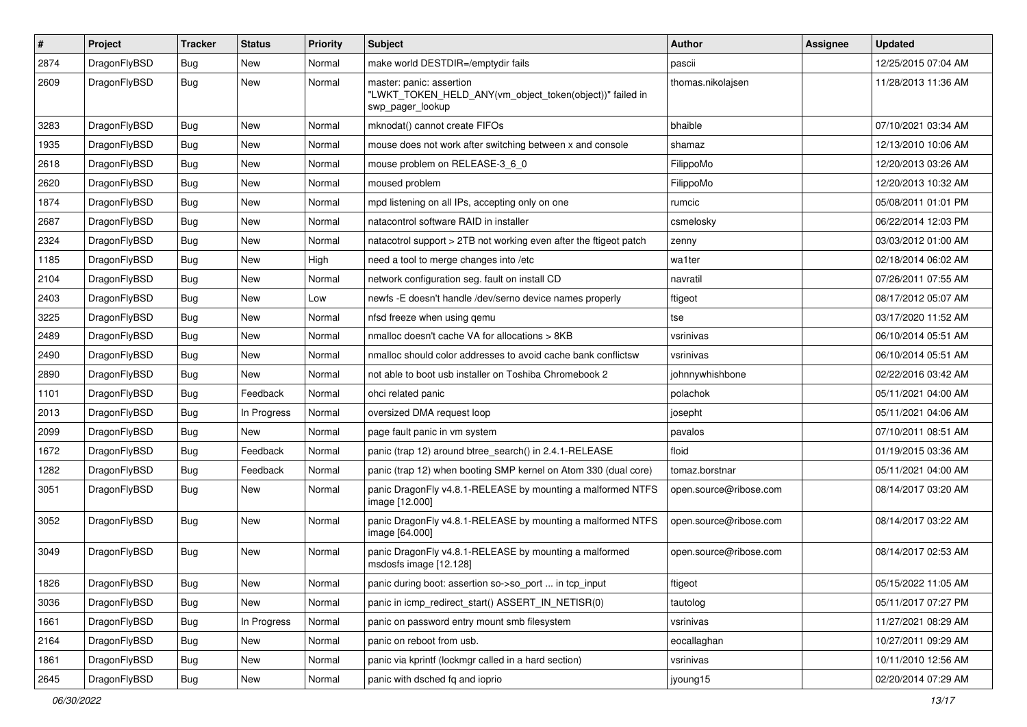| $\pmb{\#}$ | Project      | <b>Tracker</b> | <b>Status</b> | <b>Priority</b> | Subject                                                                                                  | <b>Author</b>          | Assignee | <b>Updated</b>      |
|------------|--------------|----------------|---------------|-----------------|----------------------------------------------------------------------------------------------------------|------------------------|----------|---------------------|
| 2874       | DragonFlyBSD | Bug            | New           | Normal          | make world DESTDIR=/emptydir fails                                                                       | pascii                 |          | 12/25/2015 07:04 AM |
| 2609       | DragonFlyBSD | Bug            | New           | Normal          | master: panic: assertion<br>"LWKT_TOKEN_HELD_ANY(vm_object_token(object))" failed in<br>swp_pager_lookup | thomas.nikolajsen      |          | 11/28/2013 11:36 AM |
| 3283       | DragonFlyBSD | Bug            | <b>New</b>    | Normal          | mknodat() cannot create FIFOs                                                                            | bhaible                |          | 07/10/2021 03:34 AM |
| 1935       | DragonFlyBSD | <b>Bug</b>     | <b>New</b>    | Normal          | mouse does not work after switching between x and console                                                | shamaz                 |          | 12/13/2010 10:06 AM |
| 2618       | DragonFlyBSD | Bug            | New           | Normal          | mouse problem on RELEASE-3_6_0                                                                           | FilippoMo              |          | 12/20/2013 03:26 AM |
| 2620       | DragonFlyBSD | <b>Bug</b>     | <b>New</b>    | Normal          | moused problem                                                                                           | FilippoMo              |          | 12/20/2013 10:32 AM |
| 1874       | DragonFlyBSD | <b>Bug</b>     | New           | Normal          | mpd listening on all IPs, accepting only on one                                                          | rumcic                 |          | 05/08/2011 01:01 PM |
| 2687       | DragonFlyBSD | <b>Bug</b>     | New           | Normal          | natacontrol software RAID in installer                                                                   | csmelosky              |          | 06/22/2014 12:03 PM |
| 2324       | DragonFlyBSD | <b>Bug</b>     | New           | Normal          | natacotrol support > 2TB not working even after the ftigeot patch                                        | zenny                  |          | 03/03/2012 01:00 AM |
| 1185       | DragonFlyBSD | Bug            | <b>New</b>    | High            | need a tool to merge changes into /etc                                                                   | wa1ter                 |          | 02/18/2014 06:02 AM |
| 2104       | DragonFlyBSD | <b>Bug</b>     | <b>New</b>    | Normal          | network configuration seg. fault on install CD                                                           | navratil               |          | 07/26/2011 07:55 AM |
| 2403       | DragonFlyBSD | <b>Bug</b>     | <b>New</b>    | Low             | newfs -E doesn't handle /dev/serno device names properly                                                 | ftigeot                |          | 08/17/2012 05:07 AM |
| 3225       | DragonFlyBSD | Bug            | <b>New</b>    | Normal          | nfsd freeze when using gemu                                                                              | tse                    |          | 03/17/2020 11:52 AM |
| 2489       | DragonFlyBSD | Bug            | New           | Normal          | nmalloc doesn't cache VA for allocations > 8KB                                                           | vsrinivas              |          | 06/10/2014 05:51 AM |
| 2490       | DragonFlyBSD | Bug            | <b>New</b>    | Normal          | nmalloc should color addresses to avoid cache bank conflictsw                                            | vsrinivas              |          | 06/10/2014 05:51 AM |
| 2890       | DragonFlyBSD | Bug            | New           | Normal          | not able to boot usb installer on Toshiba Chromebook 2                                                   | johnnywhishbone        |          | 02/22/2016 03:42 AM |
| 1101       | DragonFlyBSD | Bug            | Feedback      | Normal          | ohci related panic                                                                                       | polachok               |          | 05/11/2021 04:00 AM |
| 2013       | DragonFlyBSD | Bug            | In Progress   | Normal          | oversized DMA request loop                                                                               | josepht                |          | 05/11/2021 04:06 AM |
| 2099       | DragonFlyBSD | Bug            | New           | Normal          | page fault panic in vm system                                                                            | pavalos                |          | 07/10/2011 08:51 AM |
| 1672       | DragonFlyBSD | Bug            | Feedback      | Normal          | panic (trap 12) around btree_search() in 2.4.1-RELEASE                                                   | floid                  |          | 01/19/2015 03:36 AM |
| 1282       | DragonFlyBSD | Bug            | Feedback      | Normal          | panic (trap 12) when booting SMP kernel on Atom 330 (dual core)                                          | tomaz.borstnar         |          | 05/11/2021 04:00 AM |
| 3051       | DragonFlyBSD | Bug            | <b>New</b>    | Normal          | panic DragonFly v4.8.1-RELEASE by mounting a malformed NTFS<br>image [12.000]                            | open.source@ribose.com |          | 08/14/2017 03:20 AM |
| 3052       | DragonFlyBSD | Bug            | New           | Normal          | panic DragonFly v4.8.1-RELEASE by mounting a malformed NTFS<br>image [64.000]                            | open.source@ribose.com |          | 08/14/2017 03:22 AM |
| 3049       | DragonFlyBSD | Bug            | New           | Normal          | panic DragonFly v4.8.1-RELEASE by mounting a malformed<br>msdosfs image [12.128]                         | open.source@ribose.com |          | 08/14/2017 02:53 AM |
| 1826       | DragonFlyBSD | Bug            | New           | Normal          | panic during boot: assertion so->so_port  in tcp_input                                                   | ftigeot                |          | 05/15/2022 11:05 AM |
| 3036       | DragonFlyBSD | <b>Bug</b>     | New           | Normal          | panic in icmp_redirect_start() ASSERT_IN_NETISR(0)                                                       | tautolog               |          | 05/11/2017 07:27 PM |
| 1661       | DragonFlyBSD | <b>Bug</b>     | In Progress   | Normal          | panic on password entry mount smb filesystem                                                             | vsrinivas              |          | 11/27/2021 08:29 AM |
| 2164       | DragonFlyBSD | Bug            | New           | Normal          | panic on reboot from usb.                                                                                | eocallaghan            |          | 10/27/2011 09:29 AM |
| 1861       | DragonFlyBSD | <b>Bug</b>     | New           | Normal          | panic via kprintf (lockmgr called in a hard section)                                                     | vsrinivas              |          | 10/11/2010 12:56 AM |
| 2645       | DragonFlyBSD | <b>Bug</b>     | New           | Normal          | panic with dsched fq and ioprio                                                                          | jyoung15               |          | 02/20/2014 07:29 AM |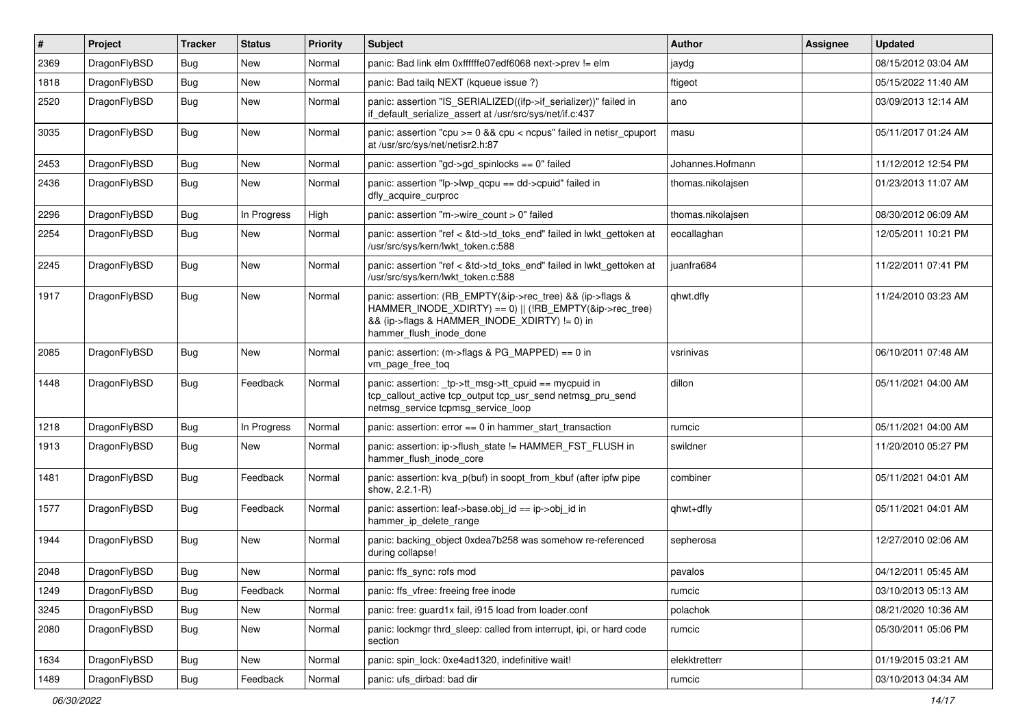| $\sharp$ | Project      | <b>Tracker</b> | <b>Status</b> | <b>Priority</b> | Subject                                                                                                                                                                                           | <b>Author</b>     | <b>Assignee</b> | <b>Updated</b>      |
|----------|--------------|----------------|---------------|-----------------|---------------------------------------------------------------------------------------------------------------------------------------------------------------------------------------------------|-------------------|-----------------|---------------------|
| 2369     | DragonFlyBSD | <b>Bug</b>     | New           | Normal          | panic: Bad link elm 0xffffffe07edf6068 next->prev != elm                                                                                                                                          | jaydg             |                 | 08/15/2012 03:04 AM |
| 1818     | DragonFlyBSD | Bug            | New           | Normal          | panic: Bad tailg NEXT (kqueue issue ?)                                                                                                                                                            | ftigeot           |                 | 05/15/2022 11:40 AM |
| 2520     | DragonFlyBSD | <b>Bug</b>     | <b>New</b>    | Normal          | panic: assertion "IS SERIALIZED((ifp->if serializer))" failed in<br>if_default_serialize_assert at /usr/src/sys/net/if.c:437                                                                      | ano               |                 | 03/09/2013 12:14 AM |
| 3035     | DragonFlyBSD | Bug            | New           | Normal          | panic: assertion "cpu >= 0 && cpu < ncpus" failed in netisr_cpuport<br>at /usr/src/sys/net/netisr2.h:87                                                                                           | masu              |                 | 05/11/2017 01:24 AM |
| 2453     | DragonFlyBSD | Bug            | New           | Normal          | panic: assertion "gd->gd spinlocks == $0$ " failed                                                                                                                                                | Johannes.Hofmann  |                 | 11/12/2012 12:54 PM |
| 2436     | DragonFlyBSD | Bug            | <b>New</b>    | Normal          | panic: assertion "lp->lwp_qcpu == dd->cpuid" failed in<br>dfly acquire curproc                                                                                                                    | thomas.nikolajsen |                 | 01/23/2013 11:07 AM |
| 2296     | DragonFlyBSD | Bug            | In Progress   | High            | panic: assertion "m->wire_count > 0" failed                                                                                                                                                       | thomas.nikolajsen |                 | 08/30/2012 06:09 AM |
| 2254     | DragonFlyBSD | Bug            | New           | Normal          | panic: assertion "ref < &td->td_toks_end" failed in lwkt_gettoken at<br>/usr/src/sys/kern/lwkt_token.c:588                                                                                        | eocallaghan       |                 | 12/05/2011 10:21 PM |
| 2245     | DragonFlyBSD | <b>Bug</b>     | New           | Normal          | panic: assertion "ref < &td->td_toks_end" failed in lwkt_gettoken at<br>/usr/src/sys/kern/lwkt_token.c:588                                                                                        | juanfra684        |                 | 11/22/2011 07:41 PM |
| 1917     | DragonFlyBSD | Bug            | New           | Normal          | panic: assertion: (RB_EMPTY(&ip->rec_tree) && (ip->flags &<br>HAMMER_INODE_XDIRTY) == 0)    (!RB_EMPTY(&ip->rec_tree)<br>&& (ip->flags & HAMMER INODE XDIRTY) != 0) in<br>hammer_flush_inode_done | qhwt.dfly         |                 | 11/24/2010 03:23 AM |
| 2085     | DragonFlyBSD | <b>Bug</b>     | <b>New</b>    | Normal          | panic: assertion: (m->flags & PG_MAPPED) == 0 in<br>vm_page_free_toq                                                                                                                              | vsrinivas         |                 | 06/10/2011 07:48 AM |
| 1448     | DragonFlyBSD | Bug            | Feedback      | Normal          | panic: assertion: _tp->tt_msg->tt_cpuid == mycpuid in<br>tcp_callout_active tcp_output tcp_usr_send netmsg_pru_send<br>netmsg service tcpmsg service loop                                         | dillon            |                 | 05/11/2021 04:00 AM |
| 1218     | DragonFlyBSD | <b>Bug</b>     | In Progress   | Normal          | panic: assertion: error == 0 in hammer_start_transaction                                                                                                                                          | rumcic            |                 | 05/11/2021 04:00 AM |
| 1913     | DragonFlyBSD | <b>Bug</b>     | <b>New</b>    | Normal          | panic: assertion: ip->flush_state != HAMMER_FST_FLUSH in<br>hammer_flush_inode_core                                                                                                               | swildner          |                 | 11/20/2010 05:27 PM |
| 1481     | DragonFlyBSD | <b>Bug</b>     | Feedback      | Normal          | panic: assertion: kva_p(buf) in soopt_from_kbuf (after ipfw pipe<br>show, 2.2.1-R)                                                                                                                | combiner          |                 | 05/11/2021 04:01 AM |
| 1577     | DragonFlyBSD | <b>Bug</b>     | Feedback      | Normal          | panic: assertion: leaf->base.obj_id == ip->obj_id in<br>hammer_ip_delete_range                                                                                                                    | qhwt+dfly         |                 | 05/11/2021 04:01 AM |
| 1944     | DragonFlyBSD | <b>Bug</b>     | New           | Normal          | panic: backing object 0xdea7b258 was somehow re-referenced<br>during collapse!                                                                                                                    | sepherosa         |                 | 12/27/2010 02:06 AM |
| 2048     | DragonFlyBSD | <b>Bug</b>     | New           | Normal          | panic: ffs_sync: rofs mod                                                                                                                                                                         | pavalos           |                 | 04/12/2011 05:45 AM |
| 1249     | DragonFlyBSD | <b>Bug</b>     | Feedback      | Normal          | panic: ffs_vfree: freeing free inode                                                                                                                                                              | rumcic            |                 | 03/10/2013 05:13 AM |
| 3245     | DragonFlyBSD | <b>Bug</b>     | <b>New</b>    | Normal          | panic: free: guard1x fail, i915 load from loader.conf                                                                                                                                             | polachok          |                 | 08/21/2020 10:36 AM |
| 2080     | DragonFlyBSD | <b>Bug</b>     | New           | Normal          | panic: lockmgr thrd sleep: called from interrupt, ipi, or hard code<br>section                                                                                                                    | rumcic            |                 | 05/30/2011 05:06 PM |
| 1634     | DragonFlyBSD | <b>Bug</b>     | <b>New</b>    | Normal          | panic: spin_lock: 0xe4ad1320, indefinitive wait!                                                                                                                                                  | elekktretterr     |                 | 01/19/2015 03:21 AM |
| 1489     | DragonFlyBSD | <b>Bug</b>     | Feedback      | Normal          | panic: ufs_dirbad: bad dir                                                                                                                                                                        | rumcic            |                 | 03/10/2013 04:34 AM |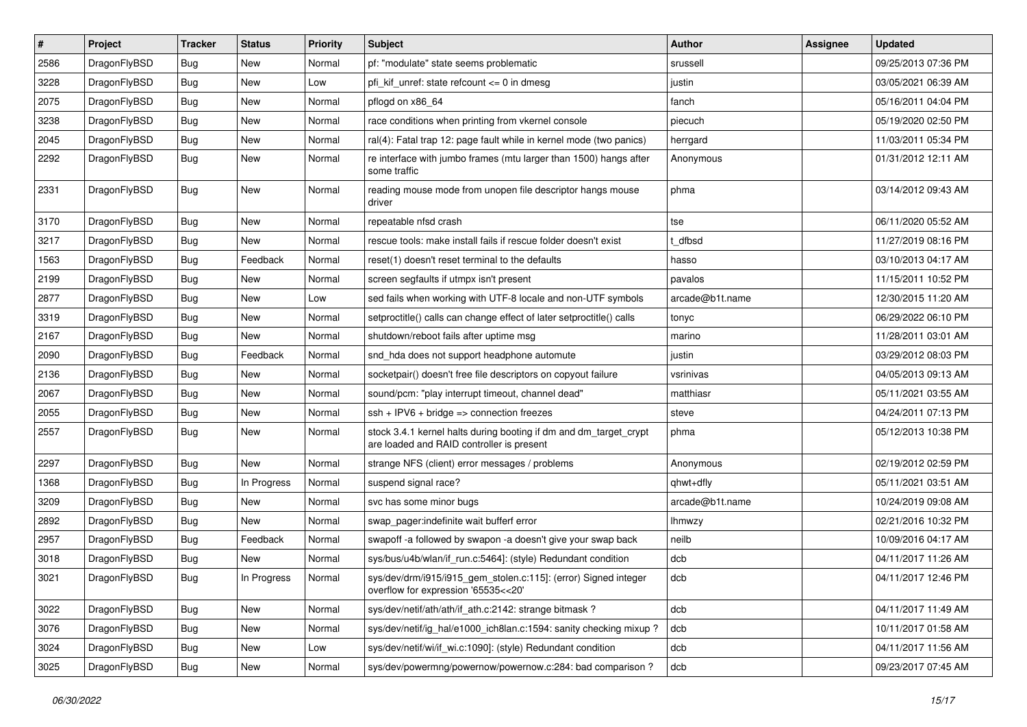| $\vert$ # | Project      | <b>Tracker</b> | <b>Status</b> | <b>Priority</b> | <b>Subject</b>                                                                                                 | <b>Author</b>   | <b>Assignee</b> | <b>Updated</b>      |
|-----------|--------------|----------------|---------------|-----------------|----------------------------------------------------------------------------------------------------------------|-----------------|-----------------|---------------------|
| 2586      | DragonFlyBSD | <b>Bug</b>     | <b>New</b>    | Normal          | pf: "modulate" state seems problematic                                                                         | srussell        |                 | 09/25/2013 07:36 PM |
| 3228      | DragonFlyBSD | <b>Bug</b>     | <b>New</b>    | Low             | pfi kif unref: state refcount $\leq$ 0 in dmesg                                                                | justin          |                 | 03/05/2021 06:39 AM |
| 2075      | DragonFlyBSD | <b>Bug</b>     | <b>New</b>    | Normal          | pflogd on x86 64                                                                                               | fanch           |                 | 05/16/2011 04:04 PM |
| 3238      | DragonFlyBSD | Bug            | <b>New</b>    | Normal          | race conditions when printing from vkernel console                                                             | piecuch         |                 | 05/19/2020 02:50 PM |
| 2045      | DragonFlyBSD | <b>Bug</b>     | <b>New</b>    | Normal          | ral(4): Fatal trap 12: page fault while in kernel mode (two panics)                                            | herrgard        |                 | 11/03/2011 05:34 PM |
| 2292      | DragonFlyBSD | Bug            | New           | Normal          | re interface with jumbo frames (mtu larger than 1500) hangs after<br>some traffic                              | Anonymous       |                 | 01/31/2012 12:11 AM |
| 2331      | DragonFlyBSD | <b>Bug</b>     | New           | Normal          | reading mouse mode from unopen file descriptor hangs mouse<br>driver                                           | phma            |                 | 03/14/2012 09:43 AM |
| 3170      | DragonFlyBSD | <b>Bug</b>     | <b>New</b>    | Normal          | repeatable nfsd crash                                                                                          | tse             |                 | 06/11/2020 05:52 AM |
| 3217      | DragonFlyBSD | <b>Bug</b>     | <b>New</b>    | Normal          | rescue tools: make install fails if rescue folder doesn't exist                                                | dfbsd           |                 | 11/27/2019 08:16 PM |
| 1563      | DragonFlyBSD | Bug            | Feedback      | Normal          | reset(1) doesn't reset terminal to the defaults                                                                | hasso           |                 | 03/10/2013 04:17 AM |
| 2199      | DragonFlyBSD | <b>Bug</b>     | <b>New</b>    | Normal          | screen segfaults if utmpx isn't present                                                                        | pavalos         |                 | 11/15/2011 10:52 PM |
| 2877      | DragonFlyBSD | <b>Bug</b>     | <b>New</b>    | Low             | sed fails when working with UTF-8 locale and non-UTF symbols                                                   | arcade@b1t.name |                 | 12/30/2015 11:20 AM |
| 3319      | DragonFlyBSD | Bug            | <b>New</b>    | Normal          | setproctitle() calls can change effect of later setproctitle() calls                                           | tonyc           |                 | 06/29/2022 06:10 PM |
| 2167      | DragonFlyBSD | <b>Bug</b>     | New           | Normal          | shutdown/reboot fails after uptime msg                                                                         | marino          |                 | 11/28/2011 03:01 AM |
| 2090      | DragonFlyBSD | Bug            | Feedback      | Normal          | snd_hda does not support headphone automute                                                                    | justin          |                 | 03/29/2012 08:03 PM |
| 2136      | DragonFlyBSD | Bug            | <b>New</b>    | Normal          | socketpair() doesn't free file descriptors on copyout failure                                                  | vsrinivas       |                 | 04/05/2013 09:13 AM |
| 2067      | DragonFlyBSD | Bug            | New           | Normal          | sound/pcm: "play interrupt timeout, channel dead"                                                              | matthiasr       |                 | 05/11/2021 03:55 AM |
| 2055      | DragonFlyBSD | Bug            | <b>New</b>    | Normal          | ssh + IPV6 + bridge => connection freezes                                                                      | steve           |                 | 04/24/2011 07:13 PM |
| 2557      | DragonFlyBSD | Bug            | New           | Normal          | stock 3.4.1 kernel halts during booting if dm and dm_target_crypt<br>are loaded and RAID controller is present | phma            |                 | 05/12/2013 10:38 PM |
| 2297      | DragonFlyBSD | Bug            | <b>New</b>    | Normal          | strange NFS (client) error messages / problems                                                                 | Anonymous       |                 | 02/19/2012 02:59 PM |
| 1368      | DragonFlyBSD | <b>Bug</b>     | In Progress   | Normal          | suspend signal race?                                                                                           | qhwt+dfly       |                 | 05/11/2021 03:51 AM |
| 3209      | DragonFlyBSD | Bug            | <b>New</b>    | Normal          | svc has some minor bugs                                                                                        | arcade@b1t.name |                 | 10/24/2019 09:08 AM |
| 2892      | DragonFlyBSD | <b>Bug</b>     | <b>New</b>    | Normal          | swap_pager:indefinite wait bufferf error                                                                       | <b>Ihmwzy</b>   |                 | 02/21/2016 10:32 PM |
| 2957      | DragonFlyBSD | <b>Bug</b>     | Feedback      | Normal          | swapoff -a followed by swapon -a doesn't give your swap back                                                   | neilb           |                 | 10/09/2016 04:17 AM |
| 3018      | DragonFlyBSD | <b>Bug</b>     | <b>New</b>    | Normal          | sys/bus/u4b/wlan/if_run.c:5464]: (style) Redundant condition                                                   | dcb             |                 | 04/11/2017 11:26 AM |
| 3021      | DragonFlyBSD | <b>Bug</b>     | In Progress   | Normal          | sys/dev/drm/i915/i915_gem_stolen.c:115]: (error) Signed integer<br>overflow for expression '65535<<20'         | dcb             |                 | 04/11/2017 12:46 PM |
| 3022      | DragonFlyBSD | <b>Bug</b>     | New           | Normal          | sys/dev/netif/ath/ath/if_ath.c:2142: strange bitmask?                                                          | dcb             |                 | 04/11/2017 11:49 AM |
| 3076      | DragonFlyBSD | <b>Bug</b>     | New           | Normal          | sys/dev/netif/ig_hal/e1000_ich8lan.c:1594: sanity checking mixup?                                              | dcb             |                 | 10/11/2017 01:58 AM |
| 3024      | DragonFlyBSD | Bug            | New           | Low             | sys/dev/netif/wi/if_wi.c:1090]: (style) Redundant condition                                                    | dcb             |                 | 04/11/2017 11:56 AM |
| 3025      | DragonFlyBSD | <b>Bug</b>     | New           | Normal          | sys/dev/powermng/powernow/powernow.c:284: bad comparison?                                                      | dcb             |                 | 09/23/2017 07:45 AM |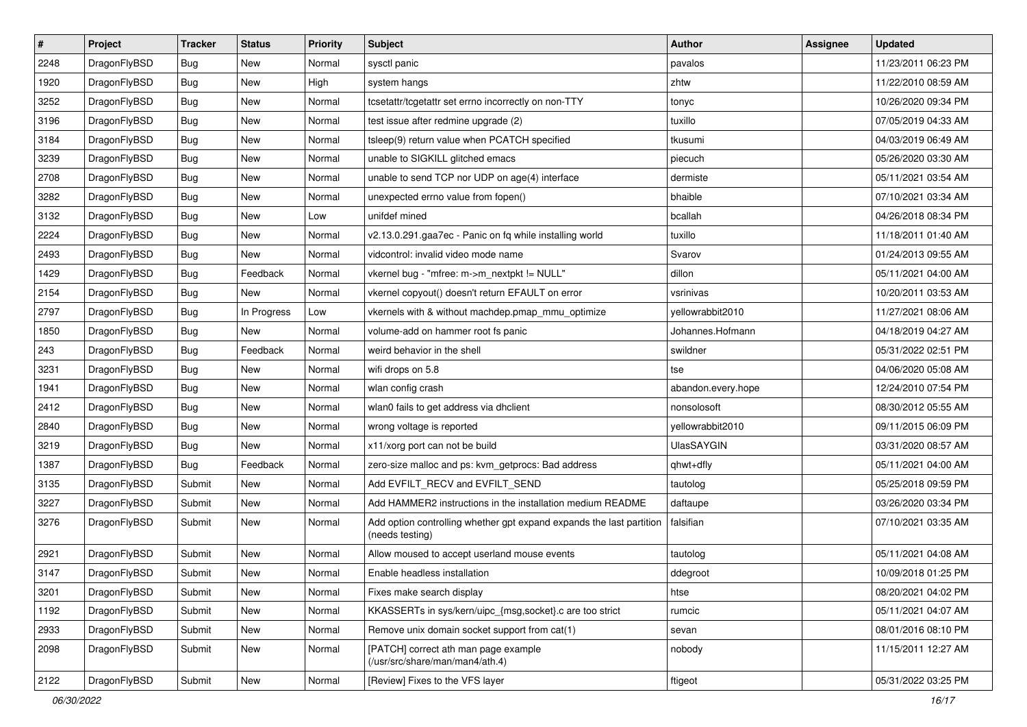| $\sharp$ | Project      | <b>Tracker</b> | <b>Status</b> | <b>Priority</b> | Subject                                                                                 | <b>Author</b>      | Assignee | <b>Updated</b>      |
|----------|--------------|----------------|---------------|-----------------|-----------------------------------------------------------------------------------------|--------------------|----------|---------------------|
| 2248     | DragonFlyBSD | <b>Bug</b>     | New           | Normal          | sysctl panic                                                                            | pavalos            |          | 11/23/2011 06:23 PM |
| 1920     | DragonFlyBSD | <b>Bug</b>     | New           | High            | system hangs                                                                            | zhtw               |          | 11/22/2010 08:59 AM |
| 3252     | DragonFlyBSD | <b>Bug</b>     | <b>New</b>    | Normal          | tcsetattr/tcgetattr set errno incorrectly on non-TTY                                    | tonyc              |          | 10/26/2020 09:34 PM |
| 3196     | DragonFlyBSD | Bug            | New           | Normal          | test issue after redmine upgrade (2)                                                    | tuxillo            |          | 07/05/2019 04:33 AM |
| 3184     | DragonFlyBSD | Bug            | <b>New</b>    | Normal          | tsleep(9) return value when PCATCH specified                                            | tkusumi            |          | 04/03/2019 06:49 AM |
| 3239     | DragonFlyBSD | Bug            | <b>New</b>    | Normal          | unable to SIGKILL glitched emacs                                                        | piecuch            |          | 05/26/2020 03:30 AM |
| 2708     | DragonFlyBSD | Bug            | New           | Normal          | unable to send TCP nor UDP on age(4) interface                                          | dermiste           |          | 05/11/2021 03:54 AM |
| 3282     | DragonFlyBSD | Bug            | <b>New</b>    | Normal          | unexpected errno value from fopen()                                                     | bhaible            |          | 07/10/2021 03:34 AM |
| 3132     | DragonFlyBSD | <b>Bug</b>     | <b>New</b>    | Low             | unifdef mined                                                                           | bcallah            |          | 04/26/2018 08:34 PM |
| 2224     | DragonFlyBSD | Bug            | <b>New</b>    | Normal          | v2.13.0.291.gaa7ec - Panic on fq while installing world                                 | tuxillo            |          | 11/18/2011 01:40 AM |
| 2493     | DragonFlyBSD | Bug            | New           | Normal          | vidcontrol: invalid video mode name                                                     | Svarov             |          | 01/24/2013 09:55 AM |
| 1429     | DragonFlyBSD | Bug            | Feedback      | Normal          | vkernel bug - "mfree: m->m_nextpkt != NULL"                                             | dillon             |          | 05/11/2021 04:00 AM |
| 2154     | DragonFlyBSD | <b>Bug</b>     | New           | Normal          | vkernel copyout() doesn't return EFAULT on error                                        | vsrinivas          |          | 10/20/2011 03:53 AM |
| 2797     | DragonFlyBSD | Bug            | In Progress   | Low             | vkernels with & without machdep.pmap_mmu_optimize                                       | yellowrabbit2010   |          | 11/27/2021 08:06 AM |
| 1850     | DragonFlyBSD | <b>Bug</b>     | <b>New</b>    | Normal          | volume-add on hammer root fs panic                                                      | Johannes.Hofmann   |          | 04/18/2019 04:27 AM |
| 243      | DragonFlyBSD | Bug            | Feedback      | Normal          | weird behavior in the shell                                                             | swildner           |          | 05/31/2022 02:51 PM |
| 3231     | DragonFlyBSD | Bug            | New           | Normal          | wifi drops on 5.8                                                                       | tse                |          | 04/06/2020 05:08 AM |
| 1941     | DragonFlyBSD | Bug            | <b>New</b>    | Normal          | wlan config crash                                                                       | abandon.every.hope |          | 12/24/2010 07:54 PM |
| 2412     | DragonFlyBSD | Bug            | <b>New</b>    | Normal          | wlan0 fails to get address via dhclient                                                 | nonsolosoft        |          | 08/30/2012 05:55 AM |
| 2840     | DragonFlyBSD | Bug            | New           | Normal          | wrong voltage is reported                                                               | yellowrabbit2010   |          | 09/11/2015 06:09 PM |
| 3219     | DragonFlyBSD | Bug            | <b>New</b>    | Normal          | x11/xorg port can not be build                                                          | <b>UlasSAYGIN</b>  |          | 03/31/2020 08:57 AM |
| 1387     | DragonFlyBSD | Bug            | Feedback      | Normal          | zero-size malloc and ps: kvm_getprocs: Bad address                                      | qhwt+dfly          |          | 05/11/2021 04:00 AM |
| 3135     | DragonFlyBSD | Submit         | New           | Normal          | Add EVFILT_RECV and EVFILT_SEND                                                         | tautolog           |          | 05/25/2018 09:59 PM |
| 3227     | DragonFlyBSD | Submit         | New           | Normal          | Add HAMMER2 instructions in the installation medium README                              | daftaupe           |          | 03/26/2020 03:34 PM |
| 3276     | DragonFlyBSD | Submit         | New           | Normal          | Add option controlling whether gpt expand expands the last partition<br>(needs testing) | falsifian          |          | 07/10/2021 03:35 AM |
| 2921     | DragonFlyBSD | Submit         | <b>New</b>    | Normal          | Allow moused to accept userland mouse events                                            | tautolog           |          | 05/11/2021 04:08 AM |
| 3147     | DragonFlyBSD | Submit         | New           | Normal          | Enable headless installation                                                            | ddegroot           |          | 10/09/2018 01:25 PM |
| 3201     | DragonFlyBSD | Submit         | New           | Normal          | Fixes make search display                                                               | htse               |          | 08/20/2021 04:02 PM |
| 1192     | DragonFlyBSD | Submit         | New           | Normal          | KKASSERTs in sys/kern/uipc_{msg,socket}.c are too strict                                | rumcic             |          | 05/11/2021 04:07 AM |
| 2933     | DragonFlyBSD | Submit         | <b>New</b>    | Normal          | Remove unix domain socket support from cat(1)                                           | sevan              |          | 08/01/2016 08:10 PM |
| 2098     | DragonFlyBSD | Submit         | New           | Normal          | [PATCH] correct ath man page example<br>(/usr/src/share/man/man4/ath.4)                 | nobody             |          | 11/15/2011 12:27 AM |
| 2122     | DragonFlyBSD | Submit         | New           | Normal          | [Review] Fixes to the VFS layer                                                         | ftigeot            |          | 05/31/2022 03:25 PM |